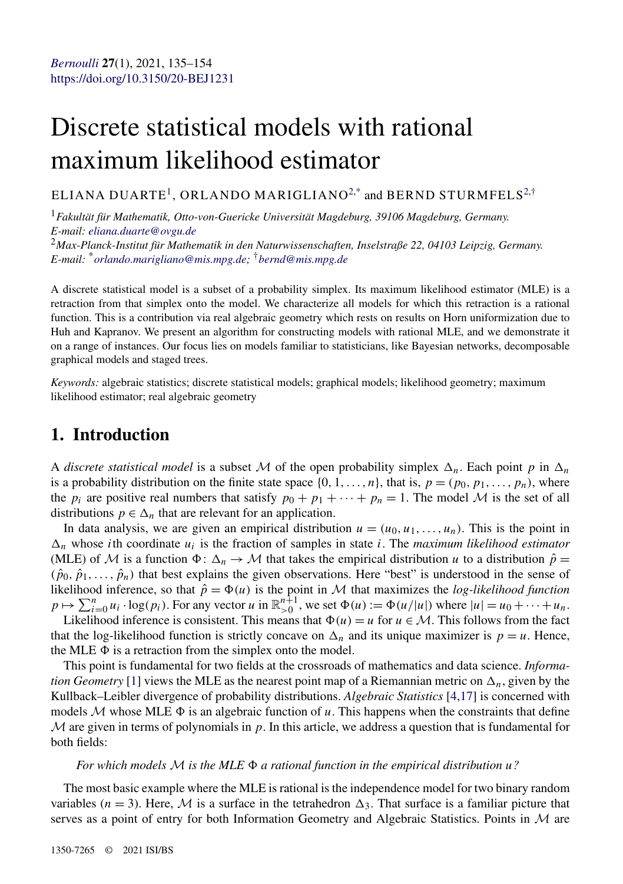# Discrete statistical models with rational maximum likelihood estimator

ELIANA DUARTE<sup>1</sup>, ORLANDO MARIGLIANO<sup>2,\*</sup> and BERND STURMFELS<sup>2,†</sup>

<sup>1</sup>*Fakultät für Mathematik, Otto-von-Guericke Universität Magdeburg, 39106 Magdeburg, Germany. E-mail: [eliana.duarte@ovgu.de](mailto:eliana.duarte@ovgu.de)*

<sup>2</sup>*Max-Planck-Institut für Mathematik in den Naturwissenschaften, Inselstraße 22, 04103 Leipzig, Germany. E-mail:* \**[orlando.marigliano@mis.mpg.de](mailto:orlando.marigliano@mis.mpg.de);* †*[bernd@mis.mpg.de](mailto:bernd@mis.mpg.de)*

A discrete statistical model is a subset of a probability simplex. Its maximum likelihood estimator (MLE) is a retraction from that simplex onto the model. We characterize all models for which this retraction is a rational function. This is a contribution via real algebraic geometry which rests on results on Horn uniformization due to Huh and Kapranov. We present an algorithm for constructing models with rational MLE, and we demonstrate it on a range of instances. Our focus lies on models familiar to statisticians, like Bayesian networks, decomposable graphical models and staged trees.

*Keywords:* algebraic statistics; discrete statistical models; graphical models; likelihood geometry; maximum likelihood estimator; real algebraic geometry

### **1. Introduction**

A *discrete statistical model* is a subset M of the open probability simplex  $\Delta_n$ . Each point p in  $\Delta_n$ is a probability distribution on the finite state space  $\{0, 1, \ldots, n\}$ , that is,  $p = (p_0, p_1, \ldots, p_n)$ , where the  $p_i$  are positive real numbers that satisfy  $p_0 + p_1 + \cdots + p_n = 1$ . The model M is the set of all distributions  $p \in \Delta_n$  that are relevant for an application.

In data analysis, we are given an empirical distribution  $u = (u_0, u_1, \ldots, u_n)$ . This is the point in  $\Delta_n$  whose *i*th coordinate  $u_i$  is the fraction of samples in state *i*. The *maximum likelihood estimator* (MLE) of M is a function  $\Phi: \Delta_n \to M$  that takes the empirical distribution *u* to a distribution  $\hat{p} =$  $(\hat{p}_0, \hat{p}_1, \ldots, \hat{p}_n)$  that best explains the given observations. Here "best" is understood in the sense of likelihood inference, so that  $\hat{p} = \Phi(u)$  is the point in M that maximizes the *log-likelihood function*  $p \mapsto \sum_{i=0}^{n} u_i \cdot \log(p_i)$ . For any vector *u* in  $\mathbb{R}_{>0}^{n+1}$ , we set  $\Phi(u) := \Phi(u/|u|)$  where  $|u| = u_0 + \cdots + u_n$ .

Likelihood inference is consistent. This means that  $\Phi(u) = u$  for  $u \in M$ . This follows from the fact that the log-likelihood function is strictly concave on  $\Delta_n$  and its unique maximizer is  $p = u$ . Hence, the MLE  $\Phi$  is a retraction from the simplex onto the model.

This point is fundamental for two fields at the crossroads of mathematics and data science. *Information Geometry* [\[1\]](#page-18-0) views the MLE as the nearest point map of a Riemannian metric on  $\Delta_n$ , given by the Kullback–Leibler divergence of probability distributions. *Algebraic Statistics* [\[4,17\]](#page-18-0) is concerned with models  $M$  whose MLE  $\Phi$  is an algebraic function of *u*. This happens when the constraints that define  $M$  are given in terms of polynomials in  $p$ . In this article, we address a question that is fundamental for both fields:

#### *For which models* M *is the MLE a rational function in the empirical distribution u?*

The most basic example where the MLE is rational is the independence model for two binary random variables ( $n = 3$ ). Here, M is a surface in the tetrahedron  $\Delta_3$ . That surface is a familiar picture that serves as a point of entry for both Information Geometry and Algebraic Statistics. Points in  $\mathcal M$  are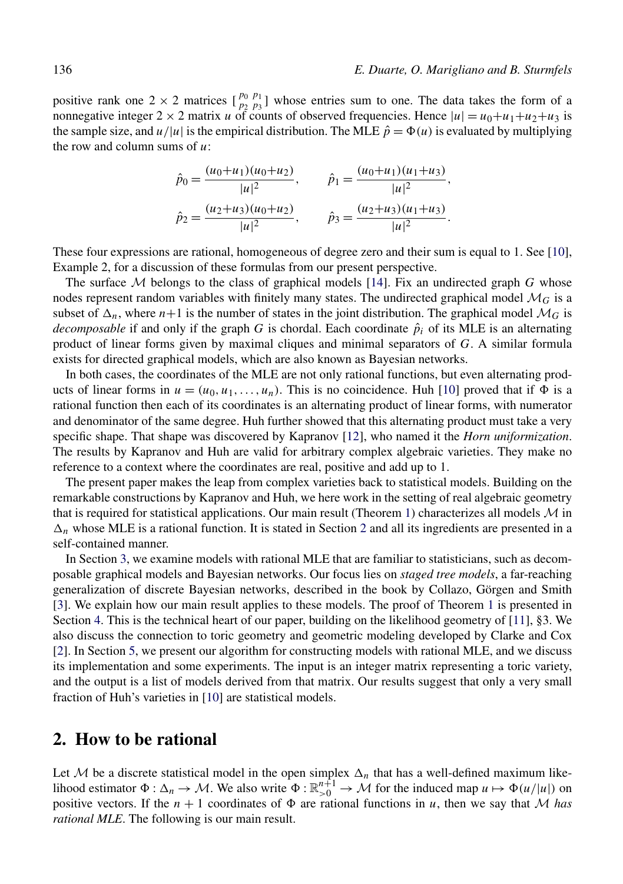positive rank one  $2 \times 2$  matrices  $\begin{bmatrix} p_0 & p_1 \\ p_2 & p_3 \end{bmatrix}$  whose entries sum to one. The data takes the form of a nonnegative integer  $2 \times 2$  matrix *u* of counts of observed frequencies. Hence  $|u| = u_0 + u_1 + u_2 + u_3$  is the sample size, and  $u/|u|$  is the empirical distribution. The MLE  $\hat{p} = \Phi(u)$  is evaluated by multiplying the row and column sums of *u*:

$$
\hat{p}_0 = \frac{(u_0 + u_1)(u_0 + u_2)}{|u|^2}, \qquad \hat{p}_1 = \frac{(u_0 + u_1)(u_1 + u_3)}{|u|^2},
$$

$$
\hat{p}_2 = \frac{(u_2 + u_3)(u_0 + u_2)}{|u|^2}, \qquad \hat{p}_3 = \frac{(u_2 + u_3)(u_1 + u_3)}{|u|^2}.
$$

These four expressions are rational, homogeneous of degree zero and their sum is equal to 1. See [\[10\]](#page-18-0), Example 2, for a discussion of these formulas from our present perspective.

The surface  $M$  belongs to the class of graphical models [\[14\]](#page-19-0). Fix an undirected graph  $G$  whose nodes represent random variables with finitely many states. The undirected graphical model  $\mathcal{M}_G$  is a subset of  $\Delta_n$ , where  $n+1$  is the number of states in the joint distribution. The graphical model  $\mathcal{M}_G$  is *decomposable* if and only if the graph *G* is chordal. Each coordinate  $\hat{p}_i$  of its MLE is an alternating product of linear forms given by maximal cliques and minimal separators of *G*. A similar formula exists for directed graphical models, which are also known as Bayesian networks.

In both cases, the coordinates of the MLE are not only rational functions, but even alternating products of linear forms in  $u = (u_0, u_1, \ldots, u_n)$ . This is no coincidence. Huh [\[10\]](#page-18-0) proved that if  $\Phi$  is a rational function then each of its coordinates is an alternating product of linear forms, with numerator and denominator of the same degree. Huh further showed that this alternating product must take a very specific shape. That shape was discovered by Kapranov [\[12\]](#page-18-0), who named it the *Horn uniformization*. The results by Kapranov and Huh are valid for arbitrary complex algebraic varieties. They make no reference to a context where the coordinates are real, positive and add up to 1.

The present paper makes the leap from complex varieties back to statistical models. Building on the remarkable constructions by Kapranov and Huh, we here work in the setting of real algebraic geometry that is required for statistical applications. Our main result (Theorem [1\)](#page-2-0) characterizes all models  $\mathcal M$  in  $\Delta_n$  whose MLE is a rational function. It is stated in Section 2 and all its ingredients are presented in a self-contained manner.

In Section [3,](#page-7-0) we examine models with rational MLE that are familiar to statisticians, such as decomposable graphical models and Bayesian networks. Our focus lies on *staged tree models*, a far-reaching generalization of discrete Bayesian networks, described in the book by Collazo, Görgen and Smith [\[3\]](#page-18-0). We explain how our main result applies to these models. The proof of Theorem [1](#page-2-0) is presented in Section [4.](#page-12-0) This is the technical heart of our paper, building on the likelihood geometry of [\[11\]](#page-18-0), §3. We also discuss the connection to toric geometry and geometric modeling developed by Clarke and Cox [\[2\]](#page-18-0). In Section [5,](#page-15-0) we present our algorithm for constructing models with rational MLE, and we discuss its implementation and some experiments. The input is an integer matrix representing a toric variety, and the output is a list of models derived from that matrix. Our results suggest that only a very small fraction of Huh's varieties in [\[10\]](#page-18-0) are statistical models.

#### **2. How to be rational**

Let M be a discrete statistical model in the open simplex  $\Delta_n$  that has a well-defined maximum likelihood estimator  $\Phi : \Delta_n \to M$ . We also write  $\Phi : \mathbb{R}_{>0}^{n+1} \to M$  for the induced map  $u \mapsto \Phi(u/|u|)$  on positive vectors. If the  $n + 1$  coordinates of  $\Phi$  are rational functions in *u*, then we say that M has *rational MLE*. The following is our main result.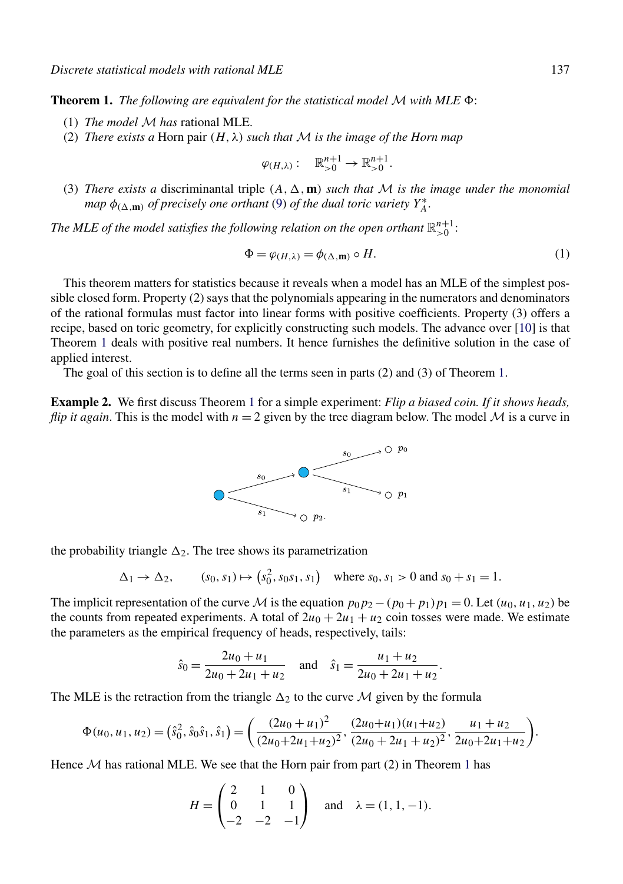<span id="page-2-0"></span>**Theorem 1.** *The following are equivalent for the statistical model M with MLE*  $\Phi$ *:* 

- (1) *The model* M *has* rational MLE.
- (2) *There exists a* Horn pair  $(H, \lambda)$  *such that* M *is the image of the Horn map*

$$
\varphi_{(H,\lambda)}:\mathbb{R}_{>0}^{n+1}\to\mathbb{R}_{>0}^{n+1}.
$$

(3) *There exists a* discriminantal triple  $(A, \Delta, \mathbf{m})$  *such that*  $M$  *is the image under the monomial map*  $\phi_{(\Delta, \mathbf{m})}$  *of precisely one orthant* [\(9\)](#page-5-0) *of the dual toric variety*  $Y_A^*$ .

*The MLE of the model satisfies the following relation on the open orthant*  $\mathbb{R}^{n+1}_{>0}$ :

$$
\Phi = \varphi_{(H,\lambda)} = \phi_{(\Delta,\mathbf{m})} \circ H. \tag{1}
$$

*.*

This theorem matters for statistics because it reveals when a model has an MLE of the simplest possible closed form. Property (2) says that the polynomials appearing in the numerators and denominators of the rational formulas must factor into linear forms with positive coefficients. Property (3) offers a recipe, based on toric geometry, for explicitly constructing such models. The advance over [\[10\]](#page-18-0) is that Theorem 1 deals with positive real numbers. It hence furnishes the definitive solution in the case of applied interest.

The goal of this section is to define all the terms seen in parts (2) and (3) of Theorem 1.

**Example 2.** We first discuss Theorem 1 for a simple experiment: *Flip a biased coin. If it shows heads, flip it again*. This is the model with  $n = 2$  given by the tree diagram below. The model  $M$  is a curve in



the probability triangle  $\Delta_2$ . The tree shows its parametrization

$$
\Delta_1 \to \Delta_2
$$
,  $(s_0, s_1) \mapsto (s_0^2, s_0 s_1, s_1)$  where  $s_0, s_1 > 0$  and  $s_0 + s_1 = 1$ .

The implicit representation of the curve M is the equation  $p_0p_2 - (p_0 + p_1)p_1 = 0$ . Let  $(u_0, u_1, u_2)$  be the counts from repeated experiments. A total of  $2u_0 + 2u_1 + u_2$  coin tosses were made. We estimate the parameters as the empirical frequency of heads, respectively, tails:

$$
\hat{s}_0 = \frac{2u_0 + u_1}{2u_0 + 2u_1 + u_2} \quad \text{and} \quad \hat{s}_1 = \frac{u_1 + u_2}{2u_0 + 2u_1 + u_2}
$$

The MLE is the retraction from the triangle  $\Delta_2$  to the curve M given by the formula

$$
\Phi(u_0, u_1, u_2) = (\hat{s}_0^2, \hat{s}_0 \hat{s}_1, \hat{s}_1) = \left(\frac{(2u_0 + u_1)^2}{(2u_0 + 2u_1 + u_2)^2}, \frac{(2u_0 + u_1)(u_1 + u_2)}{(2u_0 + 2u_1 + u_2)^2}, \frac{u_1 + u_2}{2u_0 + 2u_1 + u_2}\right).
$$

Hence  $M$  has rational MLE. We see that the Horn pair from part (2) in Theorem 1 has

$$
H = \begin{pmatrix} 2 & 1 & 0 \\ 0 & 1 & 1 \\ -2 & -2 & -1 \end{pmatrix} \text{ and } \lambda = (1, 1, -1).
$$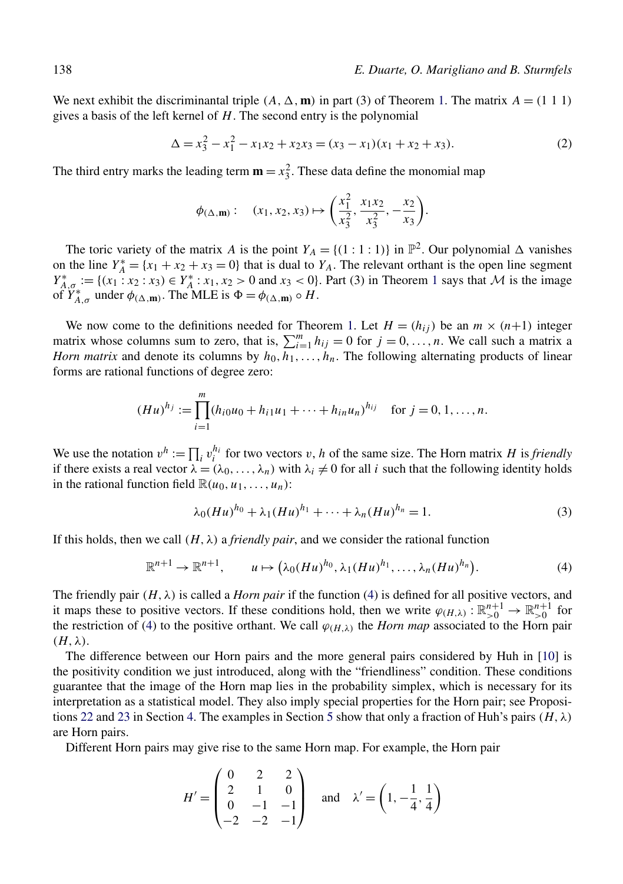<span id="page-3-0"></span>We next exhibit the discriminantal triple  $(A, \Delta, \mathbf{m})$  in part (3) of Theorem [1.](#page-2-0) The matrix  $A = (1 \ 1 \ 1)$ gives a basis of the left kernel of *H*. The second entry is the polynomial

$$
\Delta = x_3^2 - x_1^2 - x_1 x_2 + x_2 x_3 = (x_3 - x_1)(x_1 + x_2 + x_3). \tag{2}
$$

The third entry marks the leading term  $\mathbf{m} = x_3^2$ . These data define the monomial map

$$
\phi_{(\Delta,\mathbf{m})}: \quad (x_1, x_2, x_3) \mapsto \left(\frac{x_1^2}{x_3^2}, \frac{x_1 x_2}{x_3^2}, -\frac{x_2}{x_3}\right).
$$

The toric variety of the matrix *A* is the point  $Y_A = \{(1 : 1 : 1)\}$  in  $\mathbb{P}^2$ . Our polynomial  $\Delta$  vanishes on the line  $Y_A^* = \{x_1 + x_2 + x_3 = 0\}$  that is dual to  $Y_A$ . The relevant orthant is the open line segment  $Y_{A,\sigma}^* := \{(x_1 : x_2 : x_3) \in Y_A^* : x_1, x_2 > 0 \text{ and } x_3 < 0\}.$  $Y_{A,\sigma}^* := \{(x_1 : x_2 : x_3) \in Y_A^* : x_1, x_2 > 0 \text{ and } x_3 < 0\}.$  $Y_{A,\sigma}^* := \{(x_1 : x_2 : x_3) \in Y_A^* : x_1, x_2 > 0 \text{ and } x_3 < 0\}.$  Part (3) in Theorem 1 says that M is the image of  $Y_{A,\sigma}^*$  under  $\phi_{(\Delta,\mathbf{m})}$ . The MLE is  $\Phi = \phi_{(\Delta,\mathbf{m})} \circ H$ .

We now come to the definitions needed for Theorem [1.](#page-2-0) Let  $H = (h_{ij})$  be an  $m \times (n+1)$  integer matrix whose columns sum to zero, that is,  $\sum_{i=1}^{m} h_{ij} = 0$  for  $j = 0, ..., n$ . We call such a matrix a *Horn matrix* and denote its columns by  $h_0, h_1, \ldots, h_n$ . The following alternating products of linear forms are rational functions of degree zero:

$$
(Hu)^{h_j} := \prod_{i=1}^m (h_{i0}u_0 + h_{i1}u_1 + \dots + h_{in}u_n)^{h_{ij}} \quad \text{for } j = 0, 1, \dots, n.
$$

We use the notation  $v^h := \prod_i v_i^{h_i}$  for two vectors *v*, *h* of the same size. The Horn matrix *H* is *friendly* if there exists a real vector  $\lambda = (\lambda_0, \dots, \lambda_n)$  with  $\lambda_i \neq 0$  for all *i* such that the following identity holds in the rational function field  $\mathbb{R}(u_0, u_1, \ldots, u_n)$ :

$$
\lambda_0(Hu)^{h_0} + \lambda_1(Hu)^{h_1} + \dots + \lambda_n(Hu)^{h_n} = 1.
$$
 (3)

If this holds, then we call  $(H, \lambda)$  a *friendly pair*, and we consider the rational function

$$
\mathbb{R}^{n+1}\to\mathbb{R}^{n+1},\qquad u\mapsto (\lambda_0(Hu)^{h_0},\lambda_1(Hu)^{h_1},\ldots,\lambda_n(Hu)^{h_n}).\tag{4}
$$

The friendly pair  $(H, \lambda)$  is called a *Horn pair* if the function (4) is defined for all positive vectors, and it maps these to positive vectors. If these conditions hold, then we write  $\varphi_{(H,\lambda)} : \mathbb{R}_{>0}^{n+1} \to \mathbb{R}_{>0}^{n+1}$  for the restriction of (4) to the positive orthant. We call  $\varphi_{(H,\lambda)}$  the *Horn map* associated to the Horn pair *(H,λ)*.

The difference between our Horn pairs and the more general pairs considered by Huh in [\[10\]](#page-18-0) is the positivity condition we just introduced, along with the "friendliness" condition. These conditions guarantee that the image of the Horn map lies in the probability simplex, which is necessary for its interpretation as a statistical model. They also imply special properties for the Horn pair; see Proposi-tions [22](#page-14-0) and [23](#page-14-0) in Section [4.](#page-12-0) The examples in Section [5](#page-15-0) show that only a fraction of Huh's pairs  $(H, \lambda)$ are Horn pairs.

Different Horn pairs may give rise to the same Horn map. For example, the Horn pair

$$
H' = \begin{pmatrix} 0 & 2 & 2 \\ 2 & 1 & 0 \\ 0 & -1 & -1 \\ -2 & -2 & -1 \end{pmatrix} \text{ and } \lambda' = \left(1, -\frac{1}{4}, \frac{1}{4}\right)
$$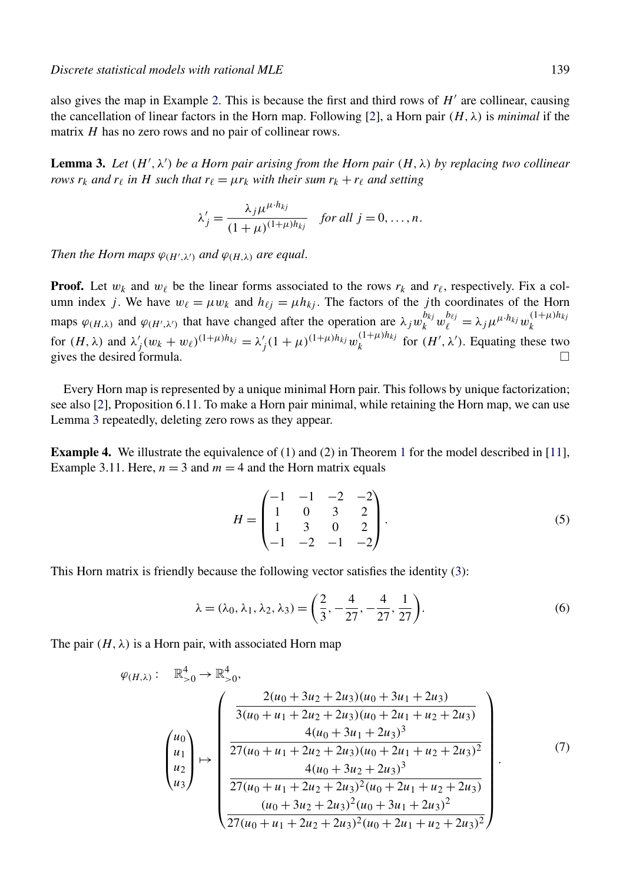<span id="page-4-0"></span>also gives the map in Example [2.](#page-2-0) This is because the first and third rows of  $H'$  are collinear, causing the cancellation of linear factors in the Horn map. Following [\[2\]](#page-18-0), a Horn pair  $(H, \lambda)$  is *minimal* if the matrix *H* has no zero rows and no pair of collinear rows.

**Lemma 3.** Let  $(H', \lambda')$  be a Horn pair arising from the Horn pair  $(H, \lambda)$  by replacing two collinear *rows*  $r_k$  *and*  $r_\ell$  *in H such that*  $r_\ell = \mu r_k$  *with their sum*  $r_k + r_\ell$  *and setting* 

$$
\lambda'_{j} = \frac{\lambda_{j} \mu^{\mu \cdot h_{kj}}}{(1 + \mu)^{(1 + \mu) h_{kj}}} \quad \text{for all } j = 0, \dots, n.
$$

*Then the Horn maps*  $\varphi_{(H',\lambda')}$  *and*  $\varphi_{(H,\lambda)}$  *are equal.* 

**Proof.** Let  $w_k$  and  $w_\ell$  be the linear forms associated to the rows  $r_k$  and  $r_\ell$ , respectively. Fix a column index *j*. We have  $w_{\ell} = \mu w_k$  and  $h_{\ell j} = \mu h_{k j}$ . The factors of the *j*th coordinates of the Horn maps  $\varphi_{(H,\lambda)}$  and  $\varphi_{(H',\lambda')}$  that have changed after the operation are  $\lambda_j w_k^{b_{kj}} w_\ell^{b_{\ell j}} = \lambda_j \mu^{\mu \cdot h_{kj}} w_k^{(1+\mu)h_{kj}}$ *k* for  $(H, \lambda)$  and  $\lambda'_j (w_k + w_\ell)^{(1 + \mu)h_{kj}} = \lambda'_j (1 + \mu)^{(1 + \mu)h_{kj}} w_k^{(1 + \mu)h_{kj}}$  for  $(H', \lambda')$ . Equating these two gives the desired formula.  $\Box$ 

Every Horn map is represented by a unique minimal Horn pair. This follows by unique factorization; see also [\[2\]](#page-18-0), Proposition 6.11. To make a Horn pair minimal, while retaining the Horn map, we can use Lemma 3 repeatedly, deleting zero rows as they appear.

**Example 4.** We illustrate the equivalence of ([1](#page-2-0)) and (2) in Theorem 1 for the model described in [\[11\]](#page-18-0), Example 3.11. Here,  $n = 3$  and  $m = 4$  and the Horn matrix equals

$$
H = \begin{pmatrix} -1 & -1 & -2 & -2 \\ 1 & 0 & 3 & 2 \\ 1 & 3 & 0 & 2 \\ -1 & -2 & -1 & -2 \end{pmatrix}.
$$
 (5)

This Horn matrix is friendly because the following vector satisfies the identity [\(3\)](#page-3-0):

$$
\lambda = (\lambda_0, \lambda_1, \lambda_2, \lambda_3) = \left(\frac{2}{3}, -\frac{4}{27}, -\frac{4}{27}, \frac{1}{27}\right). \tag{6}
$$

The pair  $(H, \lambda)$  is a Horn pair, with associated Horn map

$$
\varphi_{(H,\lambda)}: \mathbb{R}_{>0}^{4} \to \mathbb{R}_{>0}^{4},
$$
\n
$$
\begin{pmatrix}\n u_{0} \\
u_{1} \\
u_{2} \\
u_{3}\n\end{pmatrix} \mapsto \begin{pmatrix}\n 2(u_{0} + 3u_{2} + 2u_{3})(u_{0} + 3u_{1} + 2u_{3}) \\
3(u_{0} + u_{1} + 2u_{2} + 2u_{3})(u_{0} + 2u_{1} + u_{2} + 2u_{3}) \\
4(u_{0} + 3u_{1} + 2u_{3})^{3} \\
27(u_{0} + u_{1} + 2u_{2} + 2u_{3})(u_{0} + 2u_{1} + u_{2} + 2u_{3})^{2} \\
4(u_{0} + 3u_{2} + 2u_{3})^{3} \\
4(u_{0} + 3u_{2} + 2u_{3})^{2}(u_{0} + 2u_{1} + u_{2} + 2u_{3}) \\
(u_{0} + 3u_{2} + 2u_{3})^{2}(u_{0} + 3u_{1} + 2u_{3})^{2}\n\end{pmatrix}.
$$
\n(7)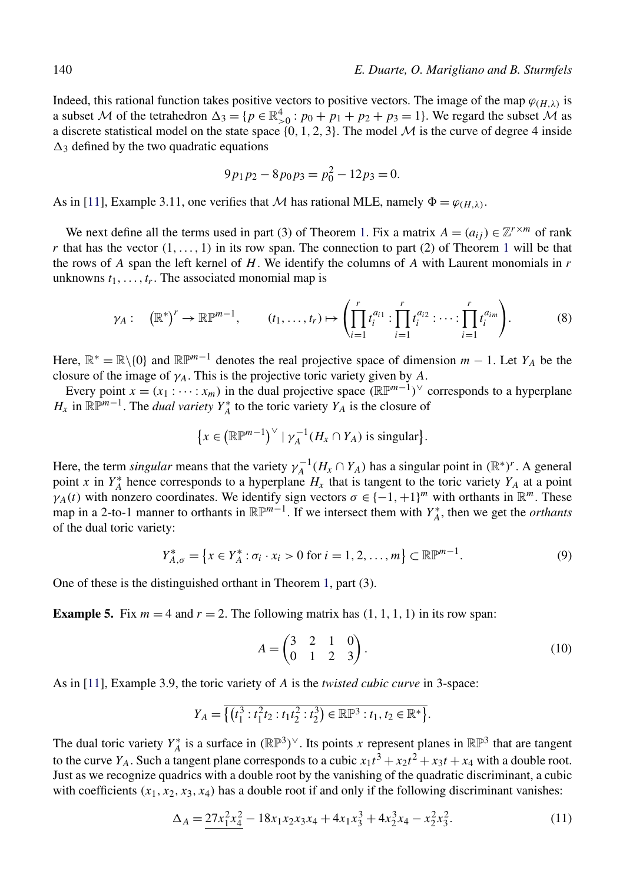<span id="page-5-0"></span>Indeed, this rational function takes positive vectors to positive vectors. The image of the map  $\varphi_{(H,\lambda)}$  is a subset M of the tetrahedron  $\Delta_3 = \{p \in \mathbb{R}^4_{>0} : p_0 + p_1 + p_2 + p_3 = 1\}$ . We regard the subset M as a discrete statistical model on the state space  $\{0, 1, 2, 3\}$ . The model M is the curve of degree 4 inside  $\Delta_3$  defined by the two quadratic equations

$$
9p_1p_2 - 8p_0p_3 = p_0^2 - 12p_3 = 0.
$$

As in [\[11\]](#page-18-0), Example 3.11, one verifies that M has rational MLE, namely  $\Phi = \varphi_{(H,\lambda)}$ .

We next define all the terms used in part (3) of Theorem [1.](#page-2-0) Fix a matrix  $A = (a_{ij}) \in \mathbb{Z}^{r \times m}$  of rank *r* that has the vector  $(1, \ldots, 1)$  $(1, \ldots, 1)$  $(1, \ldots, 1)$  in its row span. The connection to part  $(2)$  of Theorem 1 will be that the rows of *A* span the left kernel of *H*. We identify the columns of *A* with Laurent monomials in *r* unknowns  $t_1, \ldots, t_r$ . The associated monomial map is

$$
\gamma_A: (\mathbb{R}^*)^r \to \mathbb{R}\mathbb{P}^{m-1}, \qquad (t_1, \ldots, t_r) \mapsto \left( \prod_{i=1}^r t_i^{a_{i1}} : \prod_{i=1}^r t_i^{a_{i2}} : \cdots : \prod_{i=1}^r t_i^{a_{im}} \right).
$$
 (8)

Here,  $\mathbb{R}^* = \mathbb{R} \setminus \{0\}$  and  $\mathbb{R} \mathbb{P}^{m-1}$  denotes the real projective space of dimension  $m - 1$ . Let  $Y_A$  be the closure of the image of  $\gamma_A$ . This is the projective toric variety given by *A*.

Every point  $x = (x_1 : \cdots : x_m)$  in the dual projective space  $(\mathbb{R} \mathbb{P}^{m-1})^{\vee}$  corresponds to a hyperplane *H<sub>x</sub>* in  $\mathbb{R}P^{m-1}$ . The *dual variety Y<sub>A</sub>*<sup>\*</sup> to the toric variety *Y<sub>A</sub>* is the closure of

$$
\{x \in (\mathbb{R}\mathbb{P}^{m-1})^{\vee} \mid \gamma_A^{-1}(H_x \cap Y_A) \text{ is singular}\}.
$$

Here, the term *singular* means that the variety  $\gamma_A^{-1}(H_x \cap Y_A)$  has a singular point in  $(\mathbb{R}^*)^r$ . A general point *x* in  $Y_A^*$  hence corresponds to a hyperplane  $H_x$  that is tangent to the toric variety  $Y_A$  at a point *γA(t)* with nonzero coordinates. We identify sign vectors  $\sigma \in \{-1, +1\}^m$  with orthants in  $\mathbb{R}^m$ . These map in a 2-to-1 manner to orthants in  $\mathbb{R}\mathbb{P}^{m-1}$ . If we intersect them with  $Y_A^*$ , then we get the *orthants* of the dual toric variety:

$$
Y_{A,\sigma}^{*} = \{ x \in Y_A^{*} : \sigma_i \cdot x_i > 0 \text{ for } i = 1, 2, ..., m \} \subset \mathbb{R} \mathbb{P}^{m-1}.
$$
 (9)

One of these is the distinguished orthant in Theorem [1,](#page-2-0) part (3).

**Example 5.** Fix  $m = 4$  and  $r = 2$ . The following matrix has  $(1, 1, 1, 1)$  in its row span:

$$
A = \begin{pmatrix} 3 & 2 & 1 & 0 \\ 0 & 1 & 2 & 3 \end{pmatrix}.
$$
 (10)

As in [\[11\]](#page-18-0), Example 3.9, the toric variety of *A* is the *twisted cubic curve* in 3-space:

$$
Y_A = \overline{\{(t_1^3 : t_1^2t_2 : t_1t_2^2 : t_2^3) \in \mathbb{RP}^3 : t_1, t_2 \in \mathbb{R}^*\}}.
$$

The dual toric variety  $Y_A^*$  is a surface in  $(\mathbb{RP}^3)^\vee$ . Its points *x* represent planes in  $\mathbb{RP}^3$  that are tangent to the curve *Y<sub>A</sub>*. Such a tangent plane corresponds to a cubic  $x_1t^3 + x_2t^2 + x_3t + x_4$  with a double root. Just as we recognize quadrics with a double root by the vanishing of the quadratic discriminant, a cubic with coefficients  $(x_1, x_2, x_3, x_4)$  has a double root if and only if the following discriminant vanishes:

$$
\Delta_A = \frac{27x_1^2x_4^2 - 18x_1x_2x_3x_4 + 4x_1x_3^3 + 4x_2^3x_4 - x_2^2x_3^2. \tag{11}
$$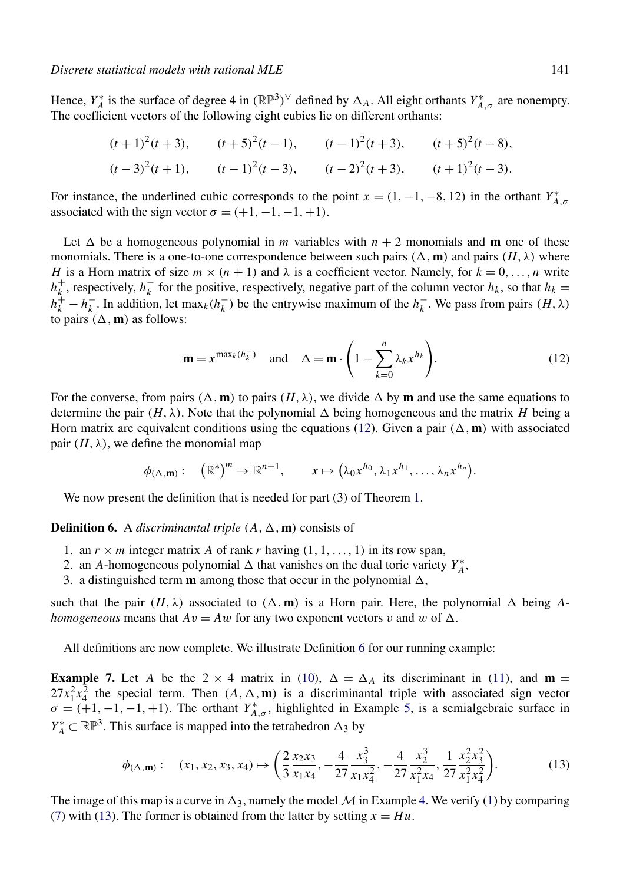<span id="page-6-0"></span>Hence,  $Y_A^*$  is the surface of degree 4 in  $(\mathbb{RP}^3)^\vee$  defined by  $\Delta_A$ . All eight orthants  $Y_{A,\sigma}^*$  are nonempty. The coefficient vectors of the following eight cubics lie on different orthants:

$$
(t+1)^2(t+3)
$$
,  $(t+5)^2(t-1)$ ,  $(t-1)^2(t+3)$ ,  $(t+5)^2(t-8)$ ,  
\n $(t-3)^2(t+1)$ ,  $(t-1)^2(t-3)$ ,  $(t-2)^2(t+3)$ ,  $(t+1)^2(t-3)$ .

For instance, the underlined cubic corresponds to the point  $x = (1, -1, -8, 12)$  in the orthant  $Y_{A,\sigma}^*$ associated with the sign vector  $\sigma = (+1, -1, -1, +1)$ .

Let  $\Delta$  be a homogeneous polynomial in *m* variables with  $n + 2$  monomials and **m** one of these monomials. There is a one-to-one correspondence between such pairs  $(\Delta, \mathbf{m})$  and pairs  $(H, \lambda)$  where *H* is a Horn matrix of size  $m \times (n + 1)$  and  $\lambda$  is a coefficient vector. Namely, for  $k = 0, \ldots, n$  write  $h_k^+$ , respectively,  $h_k^-$  for the positive, respectively, negative part of the column vector  $h_k$ , so that  $h_k =$  $h_k^+ - h_k^-$ . In addition, let max<sub>*k*</sub>( $h_k^-$ ) be the entrywise maximum of the  $h_k^-$ . We pass from pairs  $(H, \lambda)$ to pairs  $(\Delta, \mathbf{m})$  as follows:

$$
\mathbf{m} = x^{\max_k(h_k^-)} \quad \text{and} \quad \Delta = \mathbf{m} \cdot \left(1 - \sum_{k=0}^n \lambda_k x^{h_k}\right). \tag{12}
$$

For the converse, from pairs  $(\Delta, \mathbf{m})$  to pairs  $(H, \lambda)$ , we divide  $\Delta$  by **m** and use the same equations to determine the pair  $(H, \lambda)$ . Note that the polynomial  $\Delta$  being homogeneous and the matrix *H* being a Horn matrix are equivalent conditions using the equations (12). Given a pair  $(\Delta, \mathbf{m})$  with associated pair  $(H, \lambda)$ , we define the monomial map

$$
\phi_{(\Delta,\mathbf{m})}:\quad (\mathbb{R}^*)^m\to\mathbb{R}^{n+1},\qquad x\mapsto (\lambda_0x^{h_0},\lambda_1x^{h_1},\ldots,\lambda_nx^{h_n}).
$$

We now present the definition that is needed for part (3) of Theorem [1.](#page-2-0)

**Definition 6.** A *discriminantal triple*  $(A, \Delta, m)$  consists of

- 1. an  $r \times m$  integer matrix A of rank r having  $(1, 1, \ldots, 1)$  in its row span,
- 2. an *A*-homogeneous polynomial  $\triangle$  that vanishes on the dual toric variety  $Y_A^*$ ,
- 3. a distinguished term  $\mathbf m$  among those that occur in the polynomial  $\Delta$ ,

such that the pair  $(H, \lambda)$  associated to  $(\Delta, \mathbf{m})$  is a Horn pair. Here, the polynomial  $\Delta$  being A*homogeneous* means that  $Av = Aw$  for any two exponent vectors *v* and *w* of  $\Delta$ .

All definitions are now complete. We illustrate Definition 6 for our running example:

**Example 7.** Let *A* be the 2  $\times$  4 matrix in [\(10\)](#page-5-0),  $\Delta = \Delta_A$  its discriminant in [\(11\)](#page-5-0), and **m** =  $27x_1^2x_4^2$  the special term. Then  $(A, \Delta, \mathbf{m})$  is a discriminantal triple with associated sign vector  $\sigma = (+1, -1, -1, +1)$ . The orthant *Y*<sup>\*</sup><sub>*A,σ*</sub>, highlighted in Example [5,](#page-5-0) is a semialgebraic surface in *Y*<sup>\*</sup><sub>*A*</sub> ⊂  $\mathbb{RP}^3$ . This surface is mapped into the tetrahedron  $\Delta_3$  by

$$
\phi_{(\Delta,\mathbf{m})}: \quad (x_1, x_2, x_3, x_4) \mapsto \left(\frac{2}{3} \frac{x_2 x_3}{x_1 x_4}, -\frac{4}{27} \frac{x_3^3}{x_1 x_4^2}, -\frac{4}{27} \frac{x_2^3}{x_1^2 x_4}, \frac{1}{27} \frac{x_2^2 x_3^2}{x_1^2 x_4^2}\right). \tag{13}
$$

The image of this map is a curve in  $\Delta_3$ , namely the model M in Example [4.](#page-4-0) We verify [\(1\)](#page-2-0) by comparing [\(7\)](#page-4-0) with (13). The former is obtained from the latter by setting  $x = Hu$ .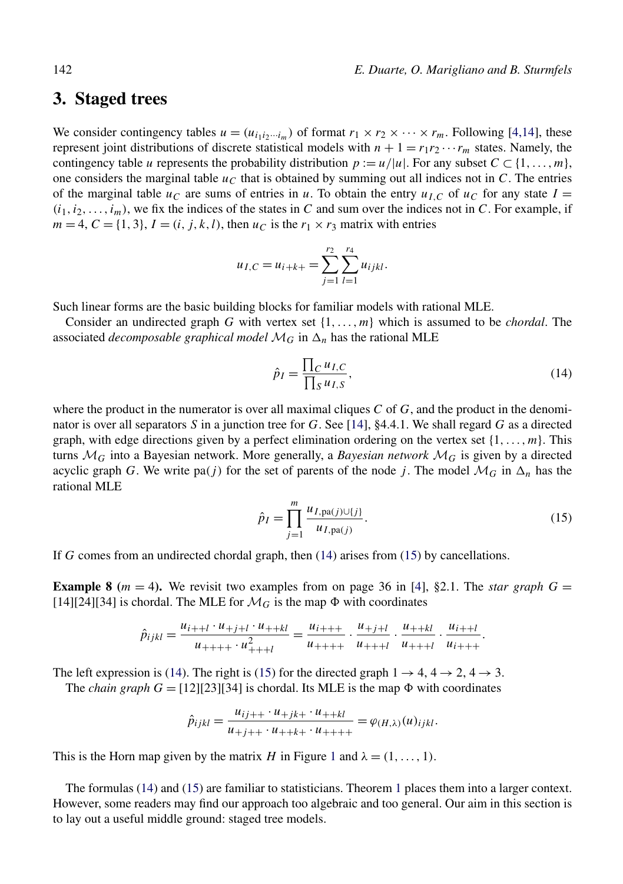#### <span id="page-7-0"></span>**3. Staged trees**

We consider contingency tables  $u = (u_{i_1 i_2 \cdots i_m})$  of format  $r_1 \times r_2 \times \cdots \times r_m$ . Following [\[4,14\]](#page-18-0), these represent joint distributions of discrete statistical models with  $n + 1 = r_1 r_2 \cdots r_m$  states. Namely, the contingency table *u* represents the probability distribution  $p := u/|u|$ . For any subset  $C \subset \{1, \ldots, m\}$ , one considers the marginal table  $u<sub>C</sub>$  that is obtained by summing out all indices not in *C*. The entries of the marginal table  $u_C$  are sums of entries in *u*. To obtain the entry  $u_{I,C}$  of  $u_C$  for any state  $I =$  $(i_1, i_2, \ldots, i_m)$ , we fix the indices of the states in *C* and sum over the indices not in *C*. For example, if  $m = 4, C = \{1, 3\}, I = (i, j, k, l)$ , then  $u_C$  is the  $r_1 \times r_3$  matrix with entries

$$
u_{I,C} = u_{i+k+1} = \sum_{j=1}^{r_2} \sum_{l=1}^{r_4} u_{ijkl}.
$$

Such linear forms are the basic building blocks for familiar models with rational MLE.

Consider an undirected graph *G* with vertex set {1*,...,m*} which is assumed to be *chordal*. The associated *decomposable graphical model*  $\mathcal{M}_G$  in  $\Delta_n$  has the rational MLE

$$
\hat{p}_I = \frac{\prod_C u_{I,C}}{\prod_S u_{I,S}},\tag{14}
$$

where the product in the numerator is over all maximal cliques *C* of *G*, and the product in the denominator is over all separators *S* in a junction tree for *G*. See [\[14\]](#page-19-0), §4.4.1. We shall regard *G* as a directed graph, with edge directions given by a perfect elimination ordering on the vertex set {1*,...,m*}. This turns  $\mathcal{M}_G$  into a Bayesian network. More generally, a *Bayesian network*  $\mathcal{M}_G$  is given by a directed acyclic graph *G*. We write pa(*j*) for the set of parents of the node *j*. The model  $\mathcal{M}_G$  in  $\Delta_n$  has the rational MLE

$$
\hat{p}_I = \prod_{j=1}^{m} \frac{u_{I, \text{pa}(j) \cup \{j\}}}{u_{I, \text{pa}(j)}}.
$$
\n(15)

If *G* comes from an undirected chordal graph, then (14) arises from (15) by cancellations.

**Example 8** ( $m = 4$ ). We revisit two examples from on page 36 in [\[4\]](#page-18-0), §2.1. The *star graph*  $G =$ [14][24][34] is chordal. The MLE for  $\mathcal{M}_G$  is the map  $\Phi$  with coordinates

$$
\hat{p}_{ijkl} = \frac{u_{i+l} \cdot u_{+j+l} \cdot u_{++kl}}{u_{++++} \cdot u_{+++l}^2} = \frac{u_{i+l+1}}{u_{++++}} \cdot \frac{u_{+j+l}}{u_{+++l}} \cdot \frac{u_{++kl}}{u_{+++l}} \cdot \frac{u_{i+l}}{u_{i+++}}.
$$

The left expression is (14). The right is (15) for the directed graph  $1 \rightarrow 4, 4 \rightarrow 2, 4 \rightarrow 3$ .

The *chain graph*  $G = [12][23][34]$  is chordal. Its MLE is the map  $\Phi$  with coordinates

$$
\hat{p}_{ijkl} = \frac{u_{ij++} \cdot u_{+jk+} \cdot u_{++kl}}{u_{+j++} \cdot u_{++k+} \cdot u_{++++}} = \varphi_{(H,\lambda)}(u)_{ijkl}.
$$

This is the Horn map given by the matrix *H* in Figure [1](#page-9-0) and  $\lambda = (1, \ldots, 1)$ .

The formulas (14) and (15) are familiar to statisticians. Theorem [1](#page-2-0) places them into a larger context. However, some readers may find our approach too algebraic and too general. Our aim in this section is to lay out a useful middle ground: staged tree models.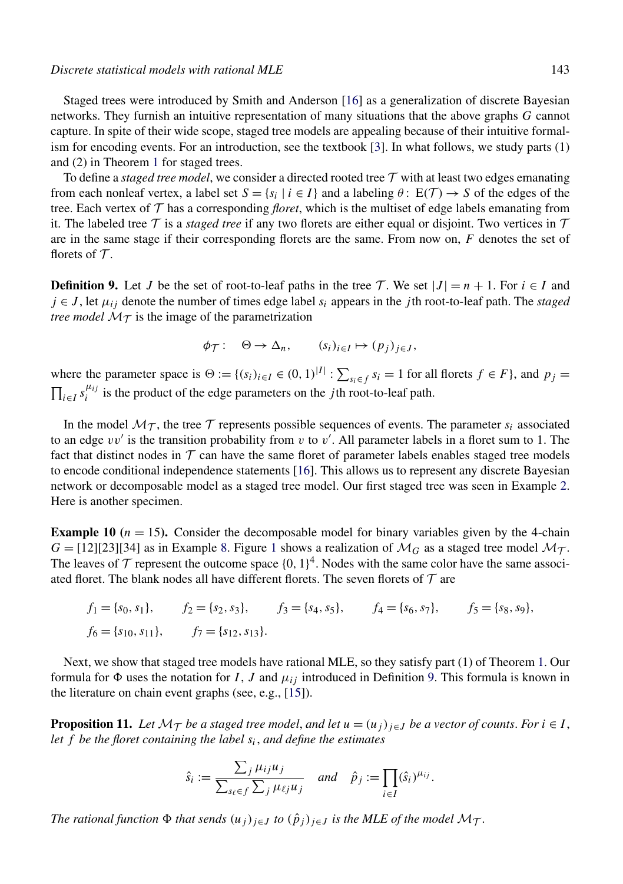<span id="page-8-0"></span>Staged trees were introduced by Smith and Anderson [\[16\]](#page-19-0) as a generalization of discrete Bayesian networks. They furnish an intuitive representation of many situations that the above graphs *G* cannot capture. In spite of their wide scope, staged tree models are appealing because of their intuitive formalism for encoding events. For an introduction, see the textbook [\[3\]](#page-18-0). In what follows, we study parts (1) and (2) in Theorem [1](#page-2-0) for staged trees.

To define a *staged tree model*, we consider a directed rooted tree T with at least two edges emanating from each nonleaf vertex, a label set  $S = \{s_i | i \in I\}$  and a labeling  $\theta: E(\mathcal{T}) \to S$  of the edges of the tree. Each vertex of T has a corresponding *floret*, which is the multiset of edge labels emanating from it. The labeled tree  $\tau$  is a *staged tree* if any two florets are either equal or disjoint. Two vertices in  $\tau$ are in the same stage if their corresponding florets are the same. From now on, *F* denotes the set of florets of  $\mathcal T$ .

**Definition 9.** Let *J* be the set of root-to-leaf paths in the tree T. We set  $|J| = n + 1$ . For  $i \in I$  and  $j \in J$ , let  $\mu_{ij}$  denote the number of times edge label  $s_i$  appears in the *j* th root-to-leaf path. The *staged tree model*  $M<sub>T</sub>$  is the image of the parametrization

$$
\phi_{\mathcal{T}}: \quad \Theta \to \Delta_n, \qquad (s_i)_{i \in I} \mapsto (p_j)_{j \in J},
$$

where the parameter space is  $\Theta := \{(s_i)_{i \in I} \in (0, 1)^{|I|} : \sum_{s_i \in f} s_i = 1 \text{ for all florets } f \in F\}$ , and  $p_j =$  $\prod_{i \in I} s_i^{\mu_{ij}}$  is the product of the edge parameters on the *j* th root-to-leaf path.

In the model  $\mathcal{M}_{\mathcal{T}}$ , the tree  $\mathcal{T}$  represents possible sequences of events. The parameter  $s_i$  associated to an edge *vv* is the transition probability from *v* to *v* . All parameter labels in a floret sum to 1. The fact that distinct nodes in  $\mathcal T$  can have the same floret of parameter labels enables staged tree models to encode conditional independence statements [\[16\]](#page-19-0). This allows us to represent any discrete Bayesian network or decomposable model as a staged tree model. Our first staged tree was seen in Example [2.](#page-2-0) Here is another specimen.

**Example 10** ( $n = 15$ ). Consider the decomposable model for binary variables given by the 4-chain  $G = [12][23][34]$  $G = [12][23][34]$  $G = [12][23][34]$  as in Example [8.](#page-7-0) Figure 1 shows a realization of  $\mathcal{M}_G$  as a staged tree model  $\mathcal{M}_{\mathcal{T}}$ . The leaves of  $\mathcal T$  represent the outcome space  $\{0, 1\}^4$ . Nodes with the same color have the same associated floret. The blank nodes all have different florets. The seven florets of  $\mathcal T$  are

$$
f_1 = \{s_0, s_1\},
$$
  $f_2 = \{s_2, s_3\},$   $f_3 = \{s_4, s_5\},$   $f_4 = \{s_6, s_7\},$   $f_5 = \{s_8, s_9\},$   
 $f_6 = \{s_{10}, s_{11}\},$   $f_7 = \{s_{12}, s_{13}\}.$ 

Next, we show that staged tree models have rational MLE, so they satisfy part (1) of Theorem [1.](#page-2-0) Our formula for  $\Phi$  uses the notation for *I*, *J* and  $\mu_{ij}$  introduced in Definition 9. This formula is known in the literature on chain event graphs (see, e.g., [\[15\]](#page-19-0)).

**Proposition 11.** Let  $\mathcal{M}_{\mathcal{T}}$  *be a staged tree model, and let*  $u = (u_j)_{j \in J}$  *be a vector of counts. For*  $i \in I$ , *let f be the floret containing the label si*, *and define the estimates*

$$
\hat{s}_i := \frac{\sum_j \mu_{ij} u_j}{\sum_{s_\ell \in f} \sum_j \mu_{\ell j} u_j} \quad \text{and} \quad \hat{p}_j := \prod_{i \in I} (\hat{s}_i)^{\mu_{ij}}.
$$

*The rational function*  $\Phi$  *that sends*  $(u_j)_{j \in J}$  *to*  $(\hat{p}_j)_{j \in J}$  *is the MLE of the model*  $\mathcal{M}_{\mathcal{T}}$ *.*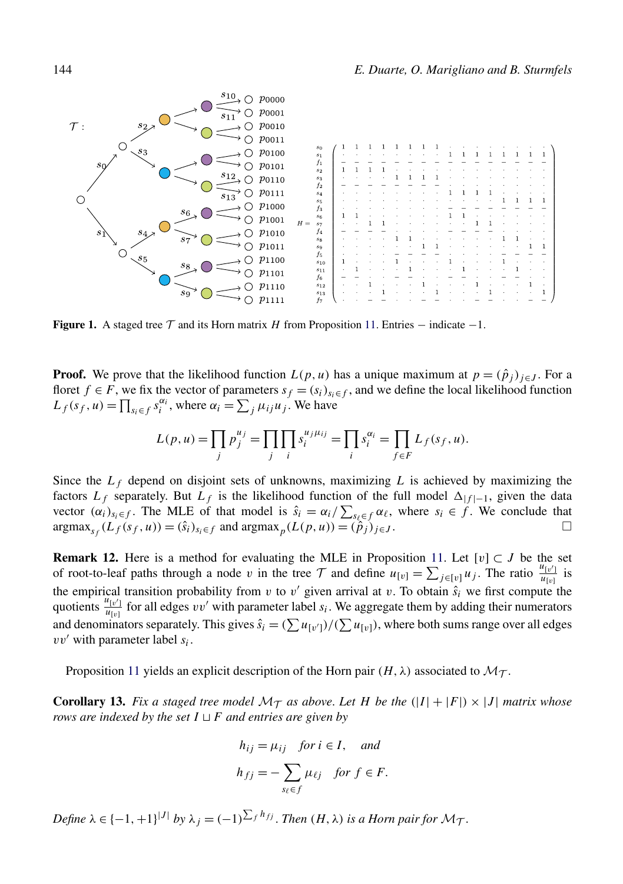<span id="page-9-0"></span>

**Figure 1.** A staged tree  $\mathcal T$  and its Horn matrix *H* from Proposition [11.](#page-8-0) Entries – indicate –1.

**Proof.** We prove that the likelihood function  $L(p, u)$  has a unique maximum at  $p = (\hat{p}_i)_{i \in J}$ . For a floret *f* ∈ *F*, we fix the vector of parameters  $s_f = (s_i)_{s_i \in f}$ , and we define the local likelihood function  $L_f(s_f, u) = \prod_{s_i \in f} s_i^{\alpha_i}$ , where  $\alpha_i = \sum_j \mu_{ij} u_j$ . We have

$$
L(p, u) = \prod_j p_j^{u_j} = \prod_j \prod_i s_i^{u_j \mu_{ij}} = \prod_i s_i^{\alpha_i} = \prod_{f \in F} L_f(s_f, u).
$$

Since the  $L_f$  depend on disjoint sets of unknowns, maximizing  $L$  is achieved by maximizing the factors  $L_f$  separately. But  $L_f$  is the likelihood function of the full model  $\Delta_{|f|-1}$ , given the data vector  $(\alpha_i)_{s_i \in f}$ . The MLE of that model is  $\hat{s}_i = \alpha_i / \sum_{s_i \in f} \alpha_i$ , where  $s_i \in f$ . We conclude that  $argmax_{s \in \mathcal{S}} (L_f(s_f, u)) = (\hat{s}_i)_{s_i \in f}$  and  $argmax_p (L(p, u)) = (\hat{p}_j)_{j \in J}$ .

**Remark 12.** Here is a method for evaluating the MLE in Proposition [11.](#page-8-0) Let  $[v] \subset J$  be the set of root-to-leaf paths through a node *v* in the tree  $\tau$  and define  $u_{[v]} = \sum_{j \in [v]} u_j$ . The ratio  $\frac{u_{[v']}}{u_{[v]}}$  is the empirical transition probability from  $v$  to  $v'$  given arrival at  $v$ . To obtain  $\hat{s}_i$  we first compute the quotients  $\frac{u_{[v']}}{u_{[v]}}$  for all edges *vv'* with parameter label *s<sub>i</sub>*. We aggregate them by adding their numerators and denominators separately. This gives  $\hat{s_i} = (\sum u_{[v']})/(\sum u_{[v]})$ , where both sums range over all edges *vv* with parameter label *si*.

Proposition [11](#page-8-0) yields an explicit description of the Horn pair  $(H, \lambda)$  associated to  $\mathcal{M}_{\mathcal{T}}$ .

**Corollary 13.** Fix a staged tree model  $\mathcal{M}_T$  as above. Let H be the  $(|I| + |F|) \times |J|$  matrix whose *rows are indexed by the set*  $I \sqcup F$  *and entries are given by* 

$$
h_{ij} = \mu_{ij} \quad \text{for } i \in I, \quad \text{and}
$$
\n
$$
h_{fj} = -\sum_{s_{\ell} \in f} \mu_{\ell j} \quad \text{for } f \in F.
$$

 $\Delta P = \{-1, +1\}^{|J|}$  by  $\lambda_j = (-1)^{\sum_f h_{fj}}$ . *Then*  $(H, \lambda)$  *is a Horn pair for*  $\mathcal{M}_{\mathcal{T}}$ .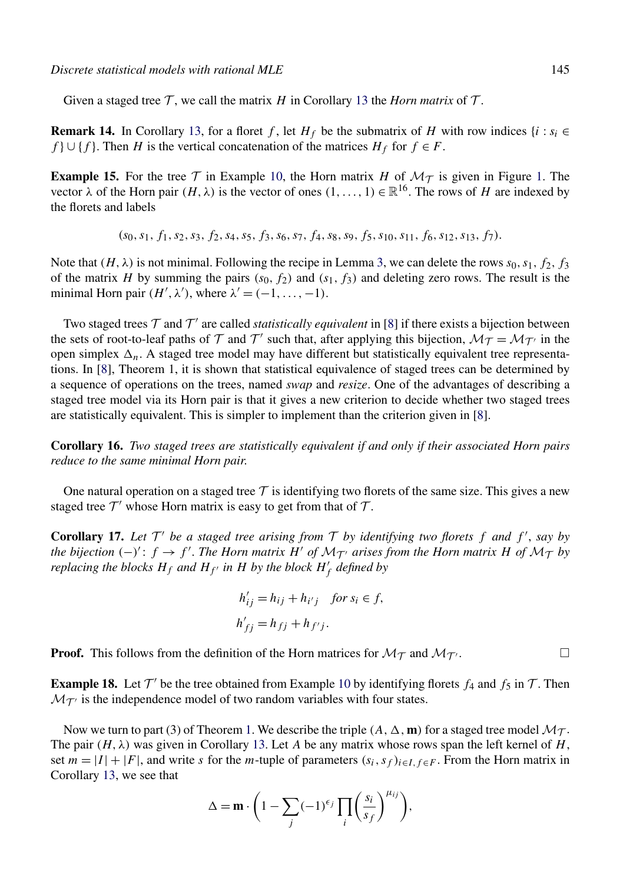Given a staged tree  $\mathcal T$ , we call the matrix *H* in Corollary [13](#page-9-0) the *Horn matrix* of  $\mathcal T$ .

**Remark 14.** In Corollary [13,](#page-9-0) for a floret *f*, let  $H_f$  be the submatrix of *H* with row indices  $\{i : s_i \in$ *f* } ∪ {*f* }. Then *H* is the vertical concatenation of the matrices  $H_f$  for  $f \in F$ .

**Example 15.** For the tree  $\mathcal T$  in Example [10,](#page-8-0) the Horn matrix *H* of  $\mathcal M_{\mathcal T}$  is given in Figure [1.](#page-9-0) The vector  $\lambda$  of the Horn pair  $(H, \lambda)$  is the vector of ones  $(1, \ldots, 1) \in \mathbb{R}^{16}$ . The rows of *H* are indexed by the florets and labels

*(s*0*,s*1*,f*1*,s*2*,s*3*,f*2*,s*4*,s*5*,f*3*,s*6*,s*7*,f*4*,s*8*,s*9*,f*5*,s*10*,s*11*,f*6*,s*12*,s*13*,f*7*).*

Note that  $(H, \lambda)$  is not minimal. Following the recipe in Lemma [3,](#page-4-0) we can delete the rows  $s_0, s_1, f_2, f_3$ of the matrix *H* by summing the pairs  $(s_0, f_2)$  and  $(s_1, f_3)$  and deleting zero rows. The result is the minimal Horn pair  $(H', \lambda')$ , where  $\lambda' = (-1, \ldots, -1)$ .

Two staged trees  $\mathcal T$  and  $\mathcal T'$  are called *statistically equivalent* in [\[8\]](#page-18-0) if there exists a bijection between the sets of root-to-leaf paths of T and T' such that, after applying this bijection,  $\mathcal{M}_T = \mathcal{M}_{T'}$  in the open simplex  $\Delta_n$ . A staged tree model may have different but statistically equivalent tree representations. In [\[8\]](#page-18-0), Theorem 1, it is shown that statistical equivalence of staged trees can be determined by a sequence of operations on the trees, named *swap* and *resize*. One of the advantages of describing a staged tree model via its Horn pair is that it gives a new criterion to decide whether two staged trees are statistically equivalent. This is simpler to implement than the criterion given in [\[8\]](#page-18-0).

**Corollary 16.** *Two staged trees are statistically equivalent if and only if their associated Horn pairs reduce to the same minimal Horn pair*.

One natural operation on a staged tree  $\mathcal T$  is identifying two florets of the same size. This gives a new staged tree  $\mathcal{T}'$  whose Horn matrix is easy to get from that of  $\mathcal{T}$ .

**Corollary 17.** Let  $T'$  be a staged tree arising from  $T$  by identifying two florets  $f$  and  $f'$ , say by *the bijection*  $(-)'$ :  $f \rightarrow f'$ . *The Horn matrix H' of*  $\mathcal{M}_{\mathcal{T}}$  *arises from the Horn matrix H of*  $\mathcal{M}_{\mathcal{T}}$  *by replacing the blocks*  $H_f$  *and*  $H_{f'}$  *in*  $H$  *by the block*  $H'_f$  *defined by* 

$$
h'_{ij} = h_{ij} + h_{i'j} \quad \text{for } s_i \in f,
$$
  

$$
h'_{jj} = h_{jj} + h_{j'j}.
$$

**Proof.** This follows from the definition of the Horn matrices for  $M_T$  and  $M_T$ .

**Example 18.** Let  $\mathcal{T}'$  be the tree obtained from Example [10](#page-8-0) by identifying florets  $f_4$  and  $f_5$  in  $\mathcal{T}$ . Then  $\mathcal{M}_{\mathcal{T}'}$  is the independence model of two random variables with four states.

Now we turn to part (3) of Theorem [1.](#page-2-0) We describe the triple  $(A, \Delta, \mathbf{m})$  for a staged tree model  $\mathcal{M}_{\mathcal{T}}$ . The pair  $(H, \lambda)$  was given in Corollary [13.](#page-9-0) Let A be any matrix whose rows span the left kernel of H, set  $m = |I| + |F|$ , and write *s* for the *m*-tuple of parameters  $(s_i, s_f)_{i \in I, f \in F}$ . From the Horn matrix in Corollary [13,](#page-9-0) we see that

$$
\Delta = \mathbf{m} \cdot \left( 1 - \sum_{j} (-1)^{\epsilon_j} \prod_{i} \left( \frac{s_i}{s_f} \right)^{\mu_{ij}} \right),
$$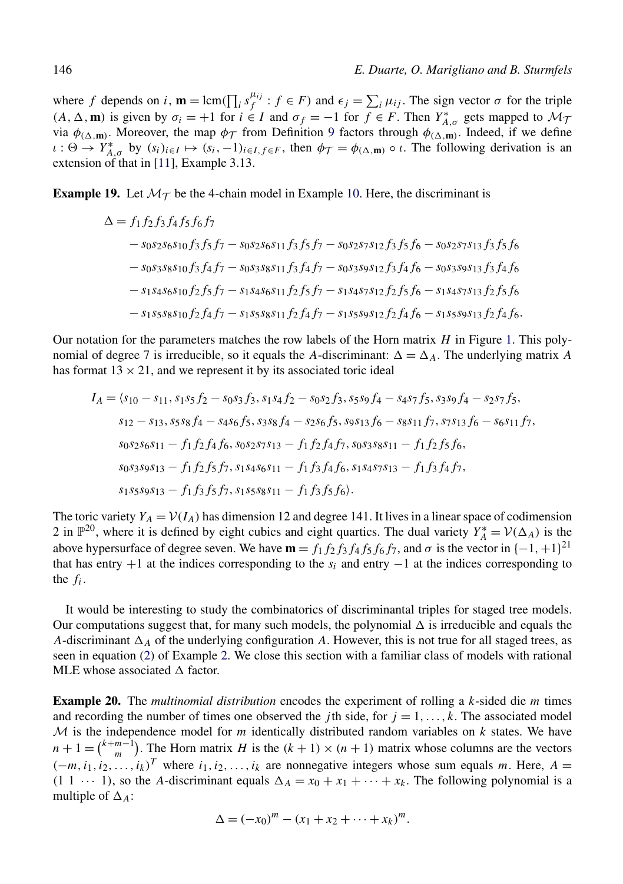<span id="page-11-0"></span>where *f* depends on *i*,  $\mathbf{m} = \text{lcm}(\prod_i s_f^{\mu_{ij}} : f \in F)$  and  $\epsilon_j = \sum_i \mu_{ij}$ . The sign vector  $\sigma$  for the triple  $(A, \Delta, \mathbf{m})$  is given by  $\sigma_i = +1$  for  $i \in I$  and  $\sigma_f = -1$  for  $f \in F$ . Then  $Y^*_{A, \sigma}$  gets mapped to  $\mathcal{M}_{\sigma}$ via  $\phi_{(\Delta,m)}$ . Moreover, the map  $\phi_{\mathcal{T}}$  from Definition [9](#page-8-0) factors through  $\phi_{(\Delta,m)}$ . Indeed, if we define  $\iota : \Theta \to Y_{A,\sigma}^*$  by  $(s_i)_{i \in I} \mapsto (s_i, -1)_{i \in I, f \in F}$ , then  $\phi_{\mathcal{T}} = \phi_{(\Delta, \mathbf{m})} \circ \iota$ . The following derivation is an extension of that in [\[11\]](#page-18-0), Example 3.13.

**Example 19.** Let  $M_T$  be the 4-chain model in Example [10.](#page-8-0) Here, the discriminant is

$$
\Delta = f_1 f_2 f_3 f_4 f_5 f_6 f_7
$$
  
\n
$$
- s_0 s_2 s_6 s_{10} f_3 f_5 f_7 - s_0 s_2 s_6 s_{11} f_3 f_5 f_7 - s_0 s_2 s_7 s_{12} f_3 f_5 f_6 - s_0 s_2 s_7 s_{13} f_3 f_5 f_6
$$
  
\n
$$
- s_0 s_3 s_8 s_{10} f_3 f_4 f_7 - s_0 s_3 s_8 s_{11} f_3 f_4 f_7 - s_0 s_3 s_9 s_{12} f_3 f_4 f_6 - s_0 s_3 s_9 s_{13} f_3 f_4 f_6
$$
  
\n
$$
- s_1 s_4 s_6 s_{10} f_2 f_5 f_7 - s_1 s_4 s_6 s_{11} f_2 f_5 f_7 - s_1 s_4 s_7 s_{12} f_2 f_5 f_6 - s_1 s_4 s_7 s_{13} f_2 f_5 f_6
$$
  
\n
$$
- s_1 s_5 s_8 s_{10} f_2 f_4 f_7 - s_1 s_5 s_8 s_{11} f_2 f_4 f_7 - s_1 s_5 s_9 s_{12} f_2 f_4 f_6 - s_1 s_5 s_9 s_{13} f_2 f_4 f_6.
$$

Our notation for the parameters matches the row labels of the Horn matrix *H* in Figure [1.](#page-9-0) This polynomial of degree 7 is irreducible, so it equals the *A*-discriminant:  $\Delta = \Delta_A$ . The underlying matrix *A* has format  $13 \times 21$ , and we represent it by its associated toric ideal

$$
I_A = \langle s_{10} - s_{11}, s_1 s_5 f_2 - s_{0} s_3 f_3, s_1 s_4 f_2 - s_{0} s_2 f_3, s_5 s_9 f_4 - s_4 s_7 f_5, s_3 s_9 f_4 - s_2 s_7 f_5,
$$
  
\n
$$
s_{12} - s_{13}, s_5 s_8 f_4 - s_4 s_6 f_5, s_3 s_8 f_4 - s_2 s_6 f_5, s_9 s_{13} f_6 - s_8 s_{11} f_7, s_7 s_{13} f_6 - s_6 s_{11} f_7,
$$
  
\n
$$
s_{0} s_2 s_6 s_{11} - f_1 f_2 f_4 f_6, s_{0} s_2 s_7 s_{13} - f_1 f_2 f_4 f_7, s_{0} s_3 s_8 s_{11} - f_1 f_2 f_5 f_6,
$$
  
\n
$$
s_{0} s_3 s_9 s_{13} - f_1 f_2 f_5 f_7, s_1 s_4 s_6 s_{11} - f_1 f_3 f_4 f_6, s_1 s_4 s_7 s_{13} - f_1 f_3 f_4 f_7,
$$
  
\n
$$
s_1 s_5 s_9 s_{13} - f_1 f_3 f_5 f_7, s_1 s_5 s_8 s_{11} - f_1 f_3 f_5 f_6.
$$

The toric variety  $Y_A = V(I_A)$  has dimension 12 and degree 141. It lives in a linear space of codimension 2 in  $\mathbb{P}^{20}$ , where it is defined by eight cubics and eight quartics. The dual variety  $Y_A^* = \mathcal{V}(\Delta_A)$  is the above hypersurface of degree seven. We have  $\mathbf{m} = f_1 f_2 f_3 f_4 f_5 f_6 f_7$ , and  $\sigma$  is the vector in  $\{-1, +1\}^{21}$ that has entry +1 at the indices corresponding to the *si* and entry −1 at the indices corresponding to the *fi*.

It would be interesting to study the combinatorics of discriminantal triples for staged tree models. Our computations suggest that, for many such models, the polynomial  $\Delta$  is irreducible and equals the *A*-discriminant  $\Delta_A$  of the underlying configuration *A*. However, this is not true for all staged trees, as seen in equation [\(2\)](#page-3-0) of Example [2.](#page-2-0) We close this section with a familiar class of models with rational MLE whose associated  $\Delta$  factor.

**Example 20.** The *multinomial distribution* encodes the experiment of rolling a *k*-sided die *m* times and recording the number of times one observed the *j* th side, for  $j = 1, \ldots, k$ . The associated model M is the independence model for *m* identically distributed random variables on *k* states. We have  $n + 1 = {k+m-1 \choose m}$ . The Horn matrix *H* is the  $(k + 1) \times (n + 1)$  matrix whose columns are the vectors  $(-m, i_1, i_2, \ldots, i_k)^T$  where  $i_1, i_2, \ldots, i_k$  are nonnegative integers whose sum equals *m*. Here, *A* =  $(1 \ 1 \ \cdots \ 1)$ , so the *A*-discriminant equals  $\Delta_A = x_0 + x_1 + \cdots + x_k$ . The following polynomial is a multiple of  $\Delta_A$ :

$$
\Delta = (-x_0)^m - (x_1 + x_2 + \dots + x_k)^m.
$$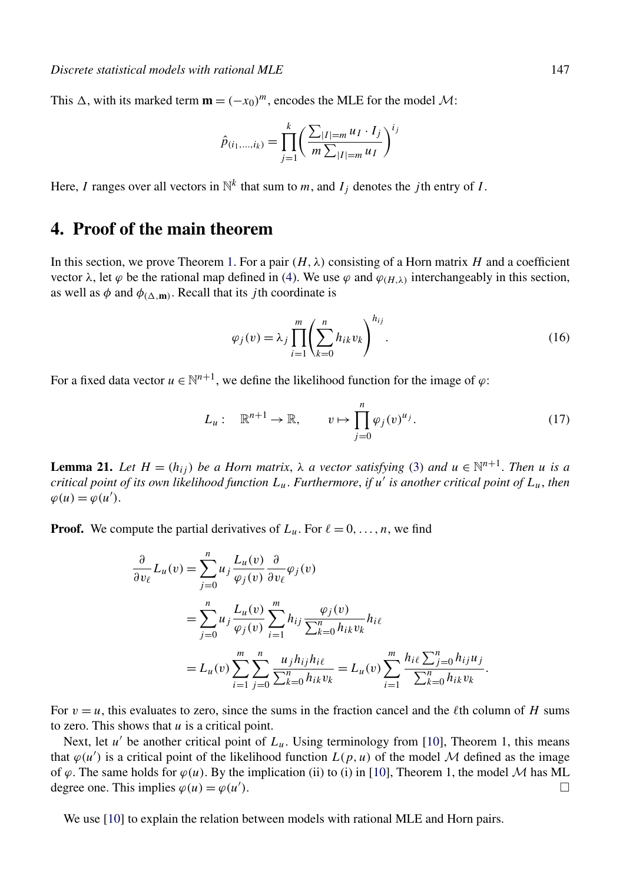<span id="page-12-0"></span>This  $\Delta$ , with its marked term  $\mathbf{m} = (-x_0)^m$ , encodes the MLE for the model  $\mathcal{M}$ :

$$
\hat{p}_{(i_1,...,i_k)} = \prod_{j=1}^k \left( \frac{\sum_{|I|=m} u_I \cdot I_j}{m \sum_{|I|=m} u_I} \right)^{i_j}
$$

Here, *I* ranges over all vectors in  $\mathbb{N}^k$  that sum to *m*, and  $I_j$  denotes the *j* th entry of *I*.

## **4. Proof of the main theorem**

In this section, we prove Theorem [1.](#page-2-0) For a pair  $(H, \lambda)$  consisting of a Horn matrix *H* and a coefficient vector  $\lambda$ , let *ϕ* be the rational map defined in [\(4\)](#page-3-0). We use  $\varphi$  and  $\varphi$ <sub>(H,λ)</sub> interchangeably in this section, as well as  $\phi$  and  $\phi$ <sub>( $\Delta$ , $\mathbf{m}$ ). Recall that its *j* th coordinate is</sub>

$$
\varphi_j(v) = \lambda_j \prod_{i=1}^m \left( \sum_{k=0}^n h_{ik} v_k \right)^{h_{ij}}.
$$
\n(16)

For a fixed data vector  $u \in \mathbb{N}^{n+1}$ , we define the likelihood function for the image of  $\varphi$ :

$$
L_u: \mathbb{R}^{n+1} \to \mathbb{R}, \qquad v \mapsto \prod_{j=0}^n \varphi_j(v)^{u_j}.
$$
 (17)

**Lemma 21.** *Let*  $H = (h_{ij})$  *be a Horn matrix,*  $\lambda$  *a vector satisfying* [\(3\)](#page-3-0) *and*  $u \in \mathbb{N}^{n+1}$ . *Then u is a critical point of its own likelihood function Lu*. *Furthermore*, *if u is another critical point of Lu*, *then*  $\varphi(u) = \varphi(u').$ 

**Proof.** We compute the partial derivatives of  $L_u$ . For  $\ell = 0, \ldots, n$ , we find

$$
\frac{\partial}{\partial v_{\ell}} L_{u}(v) = \sum_{j=0}^{n} u_{j} \frac{L_{u}(v)}{\varphi_{j}(v)} \frac{\partial}{\partial v_{\ell}} \varphi_{j}(v) \n= \sum_{j=0}^{n} u_{j} \frac{L_{u}(v)}{\varphi_{j}(v)} \sum_{i=1}^{m} h_{ij} \frac{\varphi_{j}(v)}{\sum_{k=0}^{n} h_{ik} v_{k}} h_{i\ell} \n= L_{u}(v) \sum_{i=1}^{m} \sum_{j=0}^{n} \frac{u_{j} h_{ij} h_{i\ell}}{\sum_{k=0}^{n} h_{ik} v_{k}} = L_{u}(v) \sum_{i=1}^{m} \frac{h_{i\ell} \sum_{j=0}^{n} h_{ij} u_{j}}{\sum_{k=0}^{n} h_{ik} v_{k}}.
$$

For  $v = u$ , this evaluates to zero, since the sums in the fraction cancel and the  $\ell$ th column of *H* sums to zero. This shows that *u* is a critical point.

Next, let  $u'$  be another critical point of  $L_u$ . Using terminology from [\[10\]](#page-18-0), Theorem 1, this means that  $\varphi(u')$  is a critical point of the likelihood function  $L(p, u)$  of the model M defined as the image of  $\varphi$ . The same holds for  $\varphi(u)$ . By the implication (ii) to (i) in [\[10\]](#page-18-0), Theorem 1, the model M has ML degree one. This implies  $\varphi(u) = \varphi(u')$ . degree one. This implies  $\varphi(u) = \varphi(u')$ . **)**. □

We use [\[10\]](#page-18-0) to explain the relation between models with rational MLE and Horn pairs.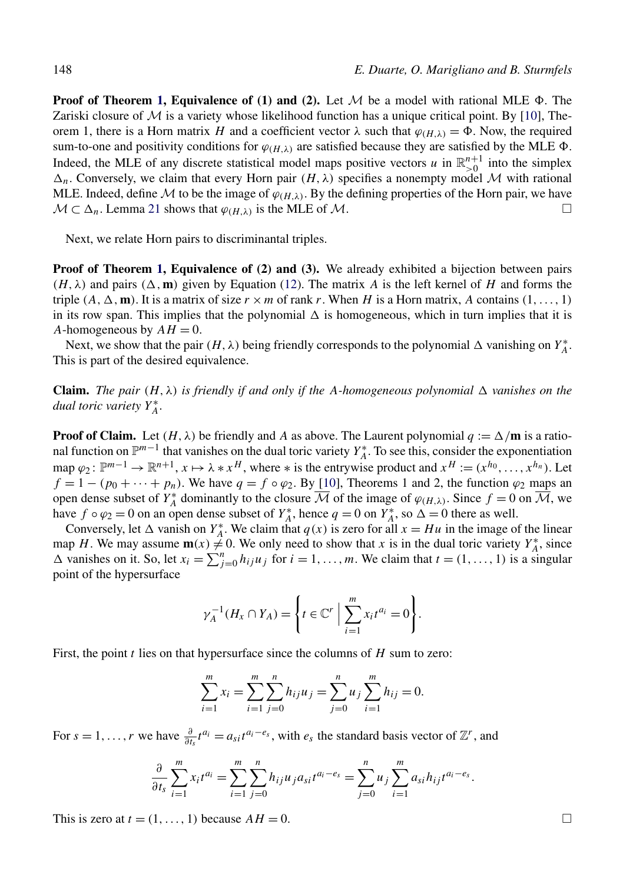**Proof of Theorem [1,](#page-2-0) Equivalence of (1) and (2).** Let  $M$  be a model with rational MLE  $\Phi$ . The Zariski closure of M is a variety whose likelihood function has a unique critical point. By [\[10\]](#page-18-0), Theorem 1, there is a Horn matrix *H* and a coefficient vector  $\lambda$  such that  $\varphi_{(H,\lambda)} = \Phi$ . Now, the required sum-to-one and positivity conditions for  $\varphi_{(H,\lambda)}$  are satisfied because they are satisfied by the MLE  $\Phi$ . Indeed, the MLE of any discrete statistical model maps positive vectors *u* in  $\mathbb{R}_{>0}^{n+1}$  into the simplex  $\Delta_n$ . Conversely, we claim that every Horn pair  $(H, \lambda)$  specifies a nonempty model M with rational MLE. Indeed, define *M* to be the image of  $\varphi_{(H,\lambda)}$ . By the defining properties of the Horn pair, we have  $M \subset \Delta_n$ . Lemma 21 shows that  $\varphi_{(H,\lambda)}$  is the MLE of *M*.  $M \subset \Delta_n$ . Lemma [21](#page-12-0) shows that  $\varphi_{(H,\lambda)}$  is the MLE of M.

Next, we relate Horn pairs to discriminantal triples.

**Proof of Theorem [1,](#page-2-0) Equivalence of (2) and (3).** We already exhibited a bijection between pairs  $(H, \lambda)$  and pairs  $(\Delta, \mathbf{m})$  given by Equation [\(12\)](#page-6-0). The matrix *A* is the left kernel of *H* and forms the triple  $(A, \Delta, \mathbf{m})$ . It is a matrix of size  $r \times m$  of rank r. When *H* is a Horn matrix, *A* contains  $(1, \ldots, 1)$ in its row span. This implies that the polynomial  $\Delta$  is homogeneous, which in turn implies that it is *A*-homogeneous by  $AH = 0$ .

Next, we show that the pair  $(H, \lambda)$  being friendly corresponds to the polynomial  $\Delta$  vanishing on  $Y_A^*$ . This is part of the desired equivalence.

**Claim.** *The pair*  $(H, \lambda)$  *is friendly if and only if the A-homogeneous polynomial*  $\Delta$  *vanishes on the dual toric variety Y*<sup>∗</sup> *A*.

**Proof of Claim.** Let  $(H, \lambda)$  be friendly and A as above. The Laurent polynomial  $q := \Delta/m$  is a rational function on  $\mathbb{P}^{m-1}$  that vanishes on the dual toric variety  $Y_A^*$ . To see this, consider the exponentiation map  $\varphi_2$ :  $\mathbb{P}^{m-1} \to \mathbb{R}^{n+1}$ ,  $x \mapsto \lambda * x^H$ , where  $*$  is the entrywise product and  $x^H := (x^{h_0}, \ldots, x^{h_n})$ . Let  $f = 1 - (p_0 + \cdots + p_n)$ . We have  $q = f \circ \varphi_2$ . By [\[10\]](#page-18-0), Theorems 1 and 2, the function  $\varphi_2$  maps an open dense subset of  $Y_A^*$  dominantly to the closure  $\overline{M}$  of the image of  $\varphi_{(H,\lambda)}$ . Since  $f = 0$  on  $\overline{M}$ , we have  $f \circ \varphi_2 = 0$  on an open dense subset of  $Y_A^*$ , hence  $q = 0$  on  $Y_A^*$ , so  $\Delta = 0$  there as well.

Conversely, let  $\Delta$  vanish on  $Y_A^*$ . We claim that  $q(x)$  is zero for all  $x = Hu$  in the image of the linear map *H*. We may assume  $\mathbf{m}(x) \neq 0$ . We only need to show that *x* is in the dual toric variety  $Y_A^*$ , since  $\Delta$  vanishes on it. So, let  $x_i = \sum_{j=0}^n h_{ij} u_j$  for  $i = 1, ..., m$ . We claim that  $t = (1, ..., 1)$  is a singular point of the hypersurface

$$
\gamma_A^{-1}(H_x \cap Y_A) = \left\{ t \in \mathbb{C}^r \mid \sum_{i=1}^m x_i t^{a_i} = 0 \right\}.
$$

First, the point *t* lies on that hypersurface since the columns of *H* sum to zero:

$$
\sum_{i=1}^{m} x_i = \sum_{i=1}^{m} \sum_{j=0}^{n} h_{ij} u_j = \sum_{j=0}^{n} u_j \sum_{i=1}^{m} h_{ij} = 0.
$$

For  $s = 1, \ldots, r$  we have  $\frac{\partial}{\partial t_s} t^{a_i} = a_{s} t^{a_i - e_s}$ , with  $e_s$  the standard basis vector of  $\mathbb{Z}^r$ , and

$$
\frac{\partial}{\partial t_s} \sum_{i=1}^m x_i t^{a_i} = \sum_{i=1}^m \sum_{j=0}^n h_{ij} u_j a_{si} t^{a_i - e_s} = \sum_{j=0}^n u_j \sum_{i=1}^m a_{si} h_{ij} t^{a_i - e_s}.
$$

This is zero at  $t = (1, \ldots, 1)$  because  $AH = 0$ .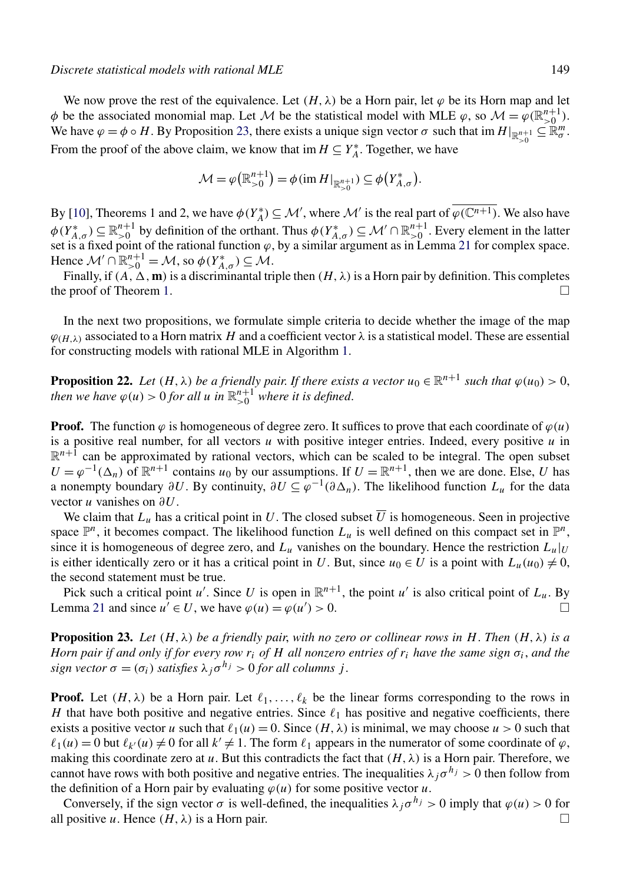<span id="page-14-0"></span>We now prove the rest of the equivalence. Let  $(H, \lambda)$  be a Horn pair, let  $\varphi$  be its Horn map and let  $\phi$  be the associated monomial map. Let M be the statistical model with MLE  $\varphi$ , so  $\mathcal{M} = \varphi(\mathbb{R}^{n+1}_{>0})$ . We have  $\varphi = \phi \circ H$ . By Proposition 23, there exists a unique sign vector  $\sigma$  such that  $\lim_{n \to \infty} H|_{\mathbb{R}^{n+1}} \subseteq \mathbb{R}^m_{\sigma}$ . From the proof of the above claim, we know that im  $H \subseteq Y_A^*$ . Together, we have

$$
\mathcal{M} = \varphi\big(\mathbb{R}_{>0}^{n+1}\big) = \phi\left(\mathrm{im}\,H\right)_{\mathbb{R}_{>0}^{n+1}} \leq \phi\big(Y_{A,\sigma}^*\big).
$$

By [\[10\]](#page-18-0), Theorems 1 and 2, we have  $\phi(Y_A^*) \subseteq M'$ , where M' is the real part of  $\phi(\mathbb{C}^{n+1})$ . We also have  $\phi(Y_{A,\sigma}^*) \subseteq \mathbb{R}_{>0}^{n+1}$  by definition of the orthant. Thus  $\phi(Y_{A,\sigma}^*) \subseteq \mathcal{M}' \cap \mathbb{R}_{>0}^{n+1}$ . Every element in the latter set is a fixed point of the rational function  $\varphi$ , by a similar argument as in Lemma [21](#page-12-0) for complex space. Hence  $\mathcal{M}' \cap \mathbb{R}_{>0}^{n+1} = \mathcal{M}$ , so  $\phi(Y_{A,\sigma}^*) \subseteq \mathcal{M}$ .

Finally, if  $(A, \Delta, m)$  is a discriminantal triple then  $(H, \lambda)$  is a Horn pair by definition. This completes the proof of Theorem [1.](#page-2-0)  $\Box$ 

In the next two propositions, we formulate simple criteria to decide whether the image of the map  $\varphi_{(H,\lambda)}$  associated to a Horn matrix *H* and a coefficient vector  $\lambda$  is a statistical model. These are essential for constructing models with rational MLE in Algorithm [1.](#page-16-0)

**Proposition 22.** *Let*  $(H, \lambda)$  *be a friendly pair. If there exists a vector*  $u_0 \in \mathbb{R}^{n+1}$  *such that*  $\varphi(u_0) > 0$ , *then we have*  $\varphi(u) > 0$  *for all u in*  $\mathbb{R}^{n+1}_{>0}$  *where it is defined.* 

**Proof.** The function  $\varphi$  is homogeneous of degree zero. It suffices to prove that each coordinate of  $\varphi(u)$ is a positive real number, for all vectors *u* with positive integer entries. Indeed, every positive *u* in  $\mathbb{R}^{n+1}$  can be approximated by rational vectors, which can be scaled to be integral. The open subset  $U = \varphi^{-1}(\Delta_n)$  of  $\mathbb{R}^{n+1}$  contains  $u_0$  by our assumptions. If  $U = \mathbb{R}^{n+1}$ , then we are done. Else, *U* has a nonempty boundary  $\partial U$ . By continuity,  $\partial U \subseteq \varphi^{-1}(\partial \Delta_n)$ . The likelihood function  $L_u$  for the data vector *u* vanishes on *∂U*.

We claim that  $L_u$  has a critical point in *U*. The closed subset  $\overline{U}$  is homogeneous. Seen in projective space  $\mathbb{P}^n$ , it becomes compact. The likelihood function  $L_u$  is well defined on this compact set in  $\mathbb{P}^n$ , since it is homogeneous of degree zero, and  $L_u$  vanishes on the boundary. Hence the restriction  $L_u|_U$ is either identically zero or it has a critical point in *U*. But, since  $u_0 \in U$  is a point with  $L_u(u_0) \neq 0$ , the second statement must be true.

Pick such a critical point *u'*. Since *U* is open in  $\mathbb{R}^{n+1}$ , the point *u'* is also critical point of  $L_u$ . By Lemma [21](#page-12-0) and since  $u' \in U$ , we have  $\varphi(u) = \varphi(u') > 0$ .  $) > 0.$ 

**Proposition 23.** Let  $(H, \lambda)$  be a friendly pair, with no zero or collinear rows in H. Then  $(H, \lambda)$  is a *Horn pair if and only if for every row*  $r_i$  *<i>of*  $H$  *all nonzero entries of*  $r_i$  *have the same sign*  $\sigma_i$ *, and the sign vector*  $\sigma = (\sigma_i)$  *satisfies*  $\lambda_i \sigma^{h_j} > 0$  *for all columns j*.

**Proof.** Let  $(H, \lambda)$  be a Horn pair. Let  $\ell_1, \ldots, \ell_k$  be the linear forms corresponding to the rows in *H* that have both positive and negative entries. Since  $\ell_1$  has positive and negative coefficients, there exists a positive vector *u* such that  $\ell_1(u) = 0$ . Since  $(H, \lambda)$  is minimal, we may choose  $u > 0$  such that  $\ell_1(u) = 0$  but  $\ell_{k'}(u) \neq 0$  for all  $k' \neq 1$ . The form  $\ell_1$  appears in the numerator of some coordinate of  $\varphi$ , making this coordinate zero at *u*. But this contradicts the fact that  $(H, \lambda)$  is a Horn pair. Therefore, we cannot have rows with both positive and negative entries. The inequalities  $\lambda_i \sigma^{h_j} > 0$  then follow from the definition of a Horn pair by evaluating  $\varphi(u)$  for some positive vector  $u$ .

Conversely, if the sign vector  $\sigma$  is well-defined, the inequalities  $\lambda_i \sigma^{h_j} > 0$  imply that  $\varphi(u) > 0$  for all positive *u*. Hence  $(H, \lambda)$  is a Horn pair.  $\Box$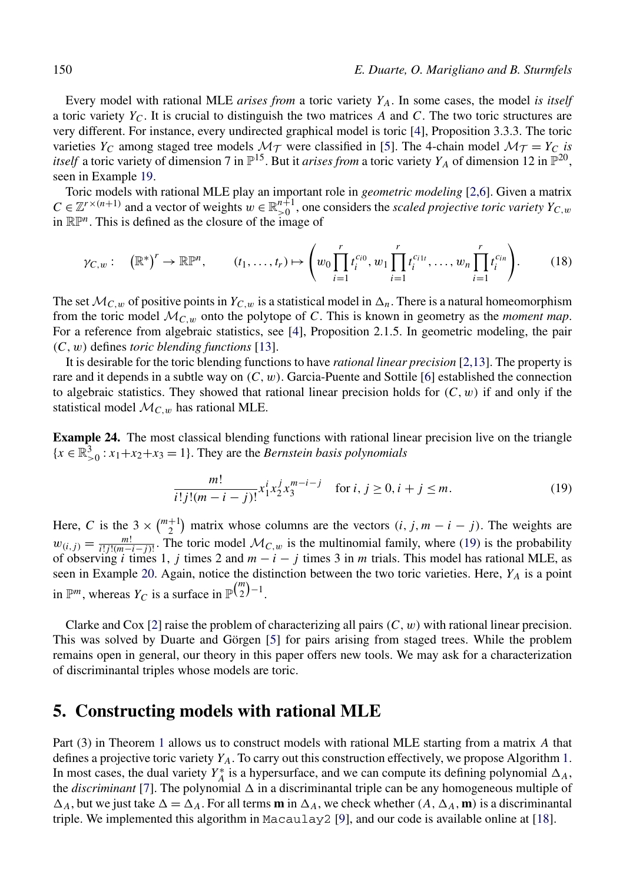<span id="page-15-0"></span>Every model with rational MLE *arises from* a toric variety *YA*. In some cases, the model *is itself* a toric variety  $Y_C$ . It is crucial to distinguish the two matrices *A* and *C*. The two toric structures are very different. For instance, every undirected graphical model is toric [\[4\]](#page-18-0), Proposition 3.3.3. The toric varieties  $Y_C$  among staged tree models  $\mathcal{M}_{\mathcal{T}}$  were classified in [\[5\]](#page-18-0). The 4-chain model  $\mathcal{M}_{\mathcal{T}} = Y_C$  *is itself* a toric variety of dimension 7 in  $\mathbb{P}^{15}$ . But it *arises from* a toric variety  $Y_A$  of dimension 12 in  $\mathbb{P}^{20}$ , seen in Example [19.](#page-11-0)

Toric models with rational MLE play an important role in *geometric modeling* [\[2,6\]](#page-18-0). Given a matrix  $C \in \mathbb{Z}^{r \times (n+1)}$  and a vector of weights  $w \in \mathbb{R}_{>0}^{n+1}$ , one considers the *scaled projective toric variety*  $Y_{C,w}$ in RP*n*. This is defined as the closure of the image of

$$
\gamma_{C,w}: (\mathbb{R}^*)^r \to \mathbb{R}\mathbb{P}^n, \qquad (t_1,\ldots,t_r) \mapsto \left(w_0 \prod_{i=1}^r t_i^{c_{i0}}, w_1 \prod_{i=1}^r t_i^{c_{i1t}}, \ldots, w_n \prod_{i=1}^r t_i^{c_{in}}\right). \tag{18}
$$

The set  $\mathcal{M}_{C,w}$  of positive points in  $Y_{C,w}$  is a statistical model in  $\Delta_n$ . There is a natural homeomorphism from the toric model M*C,w* onto the polytope of *C*. This is known in geometry as the *moment map*. For a reference from algebraic statistics, see [\[4\]](#page-18-0), Proposition 2.1.5. In geometric modeling, the pair *(C,w)* defines *toric blending functions* [\[13\]](#page-19-0).

It is desirable for the toric blending functions to have *rational linear precision* [\[2,13\]](#page-18-0). The property is rare and it depends in a subtle way on *(C,w)*. Garcia-Puente and Sottile [\[6\]](#page-18-0) established the connection to algebraic statistics. They showed that rational linear precision holds for  $(C, w)$  if and only if the statistical model  $\mathcal{M}_{C,w}$  has rational MLE.

**Example 24.** The most classical blending functions with rational linear precision live on the triangle  ${x \in \mathbb{R}^3_{>0} : x_1 + x_2 + x_3 = 1}$ . They are the *Bernstein basis polynomials* 

$$
\frac{m!}{i!j!(m-i-j)!}x_1^ix_2^jx_3^{m-i-j} \quad \text{for } i, j \ge 0, i+j \le m.
$$
 (19)

Here, *C* is the  $3 \times {m+1 \choose 2}$  matrix whose columns are the vectors  $(i, j, m - i - j)$ . The weights are  $w_{(i,j)} = \frac{m!}{i!j!(m-i-j)!}$ . The toric model  $\mathcal{M}_{C,w}$  is the multinomial family, where (19) is the probability of observing *i* times 1, *j* times 2 and *m* − *i* − *j* times 3 in *m* trials. This model has rational MLE, as seen in Example [20.](#page-11-0) Again, notice the distinction between the two toric varieties. Here, *YA* is a point in  $\mathbb{P}^m$ , whereas  $Y_C$  is a surface in  $\mathbb{P}^{\binom{m}{2}-1}$ .

Clarke and Cox [\[2\]](#page-18-0) raise the problem of characterizing all pairs  $(C, w)$  with rational linear precision. This was solved by Duarte and Görgen [\[5\]](#page-18-0) for pairs arising from staged trees. While the problem remains open in general, our theory in this paper offers new tools. We may ask for a characterization of discriminantal triples whose models are toric.

#### **5. Constructing models with rational MLE**

Part (3) in Theorem [1](#page-2-0) allows us to construct models with rational MLE starting from a matrix *A* that defines a projective toric variety *YA*. To carry out this construction effectively, we propose Algorithm [1.](#page-16-0) In most cases, the dual variety  $Y_A^*$  is a hypersurface, and we can compute its defining polynomial  $\Delta_A$ , the *discriminant* [\[7\]](#page-18-0). The polynomial  $\Delta$  in a discriminantal triple can be any homogeneous multiple of  $\Delta_A$ , but we just take  $\Delta = \Delta_A$ . For all terms **m** in  $\Delta_A$ , we check whether  $(A, \Delta_A, \mathbf{m})$  is a discriminantal triple. We implemented this algorithm in Macaulay 2 [\[9\]](#page-18-0), and our code is available online at [\[18\]](#page-19-0).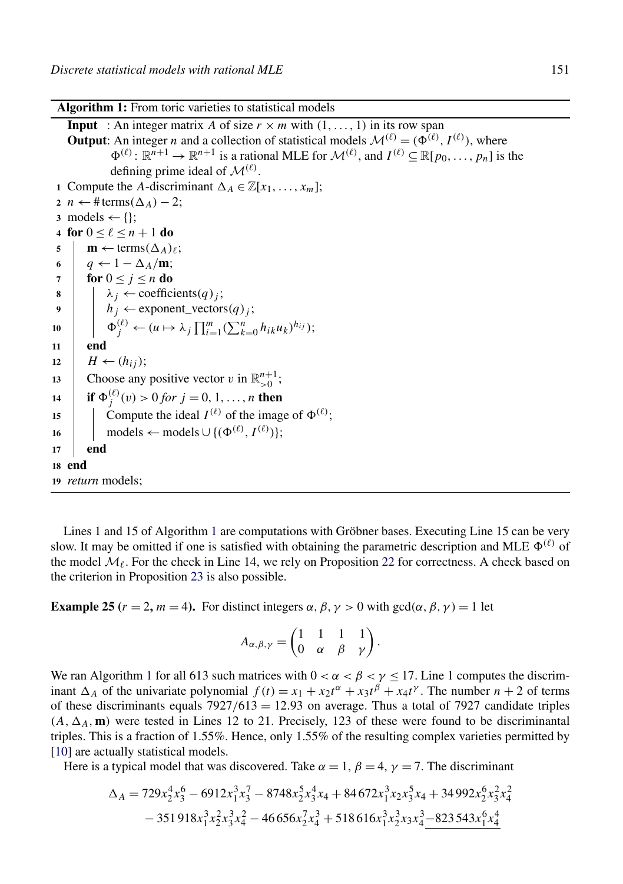<span id="page-16-0"></span>**Algorithm 1:** From toric varieties to statistical models

**Input** : An integer matrix *A* of size  $r \times m$  with  $(1, \ldots, 1)$  in its row span **Output**: An integer *n* and a collection of statistical models  $\mathcal{M}^{(\ell)} = (\Phi^{(\ell)}, I^{(\ell)})$ , where  $\Phi^{(\ell)}: \mathbb{R}^{n+1} \to \mathbb{R}^{n+1}$  is a rational MLE for  $\mathcal{M}^{(\ell)}$ , and  $I^{(\ell)} \subset \mathbb{R}[p_0, \ldots, p_n]$  is the defining prime ideal of  $\mathcal{M}^{(\ell)}$ . **1** Compute the *A*-discriminant  $\Delta_A \in \mathbb{Z}[x_1, \ldots, x_m];$ **2** *n* ← # terms( $\Delta$ *A*) − 2;  $3 \text{ models} \leftarrow \{\}$ ; **4 for**  $0 \le \ell \le n + 1$  **do**  $\mathbf{m} \leftarrow \text{terms}(\Delta_A)_{\ell};$ **6**  $q \leftarrow 1 - \Delta_A / \mathbf{m}$ ; **7 for**  $0 \leq j \leq n$  **do 8**  $\lambda_i \leftarrow$  coefficients $(q)_i$ ; **9**  $h_j \leftarrow$  exponent\_vectors $(q)_j$ ; 10  $\phi_j^{(\ell)} \leftarrow (u \mapsto \lambda_j \prod_{i=1}^m (\sum_{k=0}^n h_{ik} u_k)^{h_{ij}});$ **11 end** 12  $H \leftarrow (h_{ij});$ **13** Choose any positive vector *v* in  $\mathbb{R}^{n+1}_{>0}$ ; **14 if**  $\Phi_j^{(\ell)}(v) > 0$  *for*  $j = 0, 1, ..., n$  **then** 15 Compute the ideal  $I^{(\ell)}$  of the image of  $\Phi^{(\ell)}$ ; **16** models ← models ∪  $\{(\Phi^{(\ell)}, I^{(\ell)})\}$ ; **17 end 18 end <sup>19</sup>** *return* models;

Lines 1 and 15 of Algorithm 1 are computations with Gröbner bases. Executing Line 15 can be very slow. It may be omitted if one is satisfied with obtaining the parametric description and MLE  $\Phi^{(\ell)}$  of the model  $\mathcal{M}_{\ell}$ . For the check in Line 14, we rely on Proposition [22](#page-14-0) for correctness. A check based on the criterion in Proposition [23](#page-14-0) is also possible.

**Example 25** ( $r = 2$ ,  $m = 4$ ). For distinct integers  $\alpha$ ,  $\beta$ ,  $\gamma > 0$  with gcd( $\alpha$ ,  $\beta$ ,  $\gamma$ ) = 1 let

$$
A_{\alpha,\beta,\gamma} = \begin{pmatrix} 1 & 1 & 1 & 1 \\ 0 & \alpha & \beta & \gamma \end{pmatrix}.
$$

We ran Algorithm 1 for all 613 such matrices with  $0 < \alpha < \beta < \gamma \leq 17$ . Line 1 computes the discriminant  $\Delta_A$  of the univariate polynomial  $f(t) = x_1 + x_2t^{\alpha} + x_3t^{\beta} + x_4t^{\gamma}$ . The number  $n + 2$  of terms of these discriminants equals 7927*/*613 = 12*.*93 on average. Thus a total of 7927 candidate triples  $(A, \Delta_A, \mathbf{m})$  were tested in Lines 12 to 21. Precisely, 123 of these were found to be discriminantal triples. This is a fraction of 1.55%. Hence, only 1.55% of the resulting complex varieties permitted by [\[10\]](#page-18-0) are actually statistical models.

Here is a typical model that was discovered. Take  $\alpha = 1$ ,  $\beta = 4$ ,  $\gamma = 7$ . The discriminant

$$
\Delta_A = 729x_2^4x_3^6 - 6912x_1^3x_3^7 - 8748x_2^5x_3^4x_4 + 84672x_1^3x_2x_3^5x_4 + 34992x_2^6x_3^2x_4^2
$$
  

$$
- 351918x_1^3x_2^2x_3^3x_4^2 - 46656x_2^7x_4^3 + 518616x_1^3x_2^3x_3x_4^3 - 823543x_1^6x_4^4
$$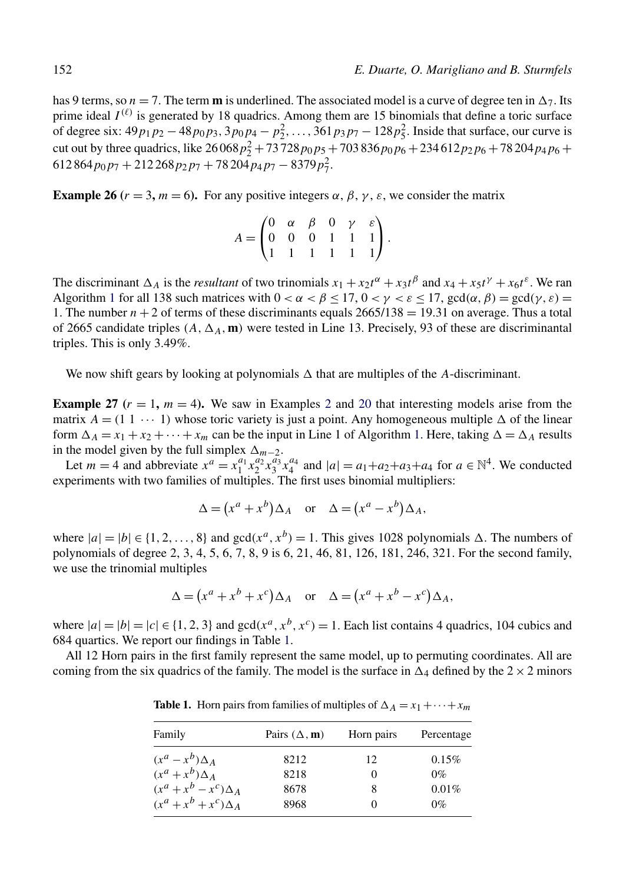has 9 terms, so  $n = 7$ . The term **m** is underlined. The associated model is a curve of degree ten in  $\Delta_7$ . Its prime ideal  $I^{(\ell)}$  is generated by 18 quadrics. Among them are 15 binomials that define a toric surface of degree six:  $49p_1p_2 - 48p_0p_3$ ,  $3p_0p_4 - p_2^2$ , ...,  $361p_3p_7 - 128p_5^2$ . Inside that surface, our curve is cut out by three quadrics, like  $26\,068\,p_2^2 + 73\,728\,p_0p_5 + 703\,836\,p_0p_6 + 234\,612\,p_2p_6 + 78\,204\,p_4p_6 +$  $612864p_0p_7 + 212268p_2p_7 + 78204p_4p_7 - 8379p_7^2$ 

**Example 26** ( $r = 3$ ,  $m = 6$ ). For any positive integers  $\alpha$ ,  $\beta$ ,  $\gamma$ ,  $\varepsilon$ , we consider the matrix

$$
A = \begin{pmatrix} 0 & \alpha & \beta & 0 & \gamma & \varepsilon \\ 0 & 0 & 0 & 1 & 1 & 1 \\ 1 & 1 & 1 & 1 & 1 & 1 \end{pmatrix}.
$$

The discriminant  $\Delta_A$  is the *resultant* of two trinomials  $x_1 + x_2t^{\alpha} + x_3t^{\beta}$  and  $x_4 + x_5t^{\gamma} + x_6t^{\epsilon}$ . We ran Algorithm [1](#page-16-0) for all 138 such matrices with  $0 < \alpha < \beta < 17$ ,  $0 < \gamma < \epsilon < 17$ ,  $\gcd(\alpha, \beta) = \gcd(\gamma, \epsilon) =$ 1. The number  $n + 2$  of terms of these discriminants equals  $2665/138 = 19.31$  on average. Thus a total of 2665 candidate triples  $(A, \Delta_A, \mathbf{m})$  were tested in Line 13. Precisely, 93 of these are discriminantal triples. This is only 3.49%.

We now shift gears by looking at polynomials  $\Delta$  that are multiples of the  $A$ -discriminant.

**Example [2](#page-2-0)7**  $(r = 1, m = 4)$ . We saw in Examples 2 and [20](#page-11-0) that interesting models arise from the matrix  $A = (1 \ 1 \ \cdots \ 1)$  whose toric variety is just a point. Any homogeneous multiple  $\Delta$  of the linear form  $\Delta_A = x_1 + x_2 + \cdots + x_m$  can be the input in Line 1 of Algorithm [1.](#page-16-0) Here, taking  $\Delta = \Delta_A$  results in the model given by the full simplex  $\Delta_{m-2}$ .

Let  $m = 4$  and abbreviate  $x^a = x_1^{a_1} x_2^{a_2} x_3^{a_3} x_4^{a_4}$  and  $|a| = a_1 + a_2 + a_3 + a_4$  for  $a \in \mathbb{N}^4$ . We conducted experiments with two families of multiples. The first uses binomial multipliers:

$$
\Delta = (x^a + x^b) \Delta_A \quad \text{or} \quad \Delta = (x^a - x^b) \Delta_A,
$$

where  $|a| = |b| \in \{1, 2, ..., 8\}$  and  $gcd(x^a, x^b) = 1$ . This gives 1028 polynomials  $\Delta$ . The numbers of polynomials of degree 2, 3, 4, 5, 6, 7, 8, 9 is 6, 21, 46, 81, 126, 181, 246, 321. For the second family, we use the trinomial multiples

$$
\Delta = (x^a + x^b + x^c) \Delta_A \quad \text{or} \quad \Delta = (x^a + x^b - x^c) \Delta_A,
$$

where  $|a|=|b|=|c|\in\{1,2,3\}$  and  $gcd(x^a, x^b, x^c)=1$ . Each list contains 4 quadrics, 104 cubics and 684 quartics. We report our findings in Table 1.

All 12 Horn pairs in the first family represent the same model, up to permuting coordinates. All are coming from the six quadrics of the family. The model is the surface in  $\Delta_4$  defined by the  $2 \times 2$  minors

**Table 1.** Horn pairs from families of multiples of  $\Delta_A = x_1 + \cdots + x_m$ 

| Family                       | Pairs $(\Delta, \mathbf{m})$ | Horn pairs | Percentage |
|------------------------------|------------------------------|------------|------------|
| $(x^a - x^b) \Delta_A$       | 8212                         | 12         | 0.15%      |
| $(x^a + x^b) \Delta_A$       | 8218                         | $\theta$   | $0\%$      |
| $(x^a + x^b - x^c) \Delta_A$ | 8678                         | 8          | 0.01%      |
| $(x^a + x^b + x^c) \Delta_A$ | 8968                         | $_{0}$     | $0\%$      |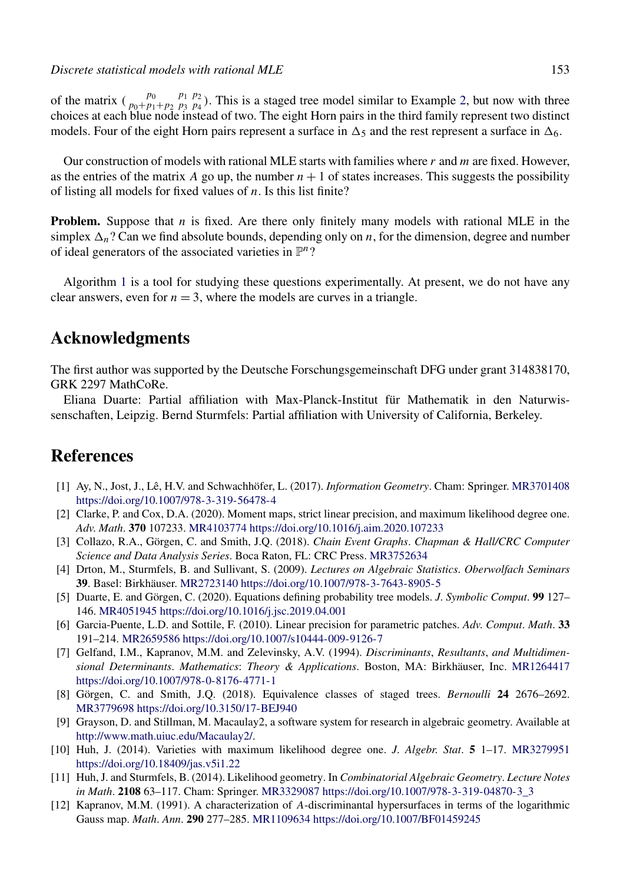<span id="page-18-0"></span>of the matrix  $\begin{pmatrix} p_0 & p_1 & p_2 \\ p_0 + p_1 + p_2 & p_3 & p_4 \end{pmatrix}$ . This is a staged tree model similar to Example [2,](#page-2-0) but now with three choices at each blue node instead of two. The eight Horn pairs in the third family represent two distinct models. Four of the eight Horn pairs represent a surface in  $\Delta_5$  and the rest represent a surface in  $\Delta_6$ .

Our construction of models with rational MLE starts with families where *r* and *m* are fixed. However, as the entries of the matrix *A* go up, the number  $n + 1$  of states increases. This suggests the possibility of listing all models for fixed values of *n*. Is this list finite?

**Problem.** Suppose that *n* is fixed. Are there only finitely many models with rational MLE in the simplex  $\Delta_n$ ? Can we find absolute bounds, depending only on *n*, for the dimension, degree and number of ideal generators of the associated varieties in P*n*?

Algorithm [1](#page-16-0) is a tool for studying these questions experimentally. At present, we do not have any clear answers, even for  $n = 3$ , where the models are curves in a triangle.

# **Acknowledgments**

The first author was supported by the Deutsche Forschungsgemeinschaft DFG under grant 314838170, GRK 2297 MathCoRe.

Eliana Duarte: Partial affiliation with Max-Planck-Institut für Mathematik in den Naturwissenschaften, Leipzig. Bernd Sturmfels: Partial affiliation with University of California, Berkeley.

### **References**

- [1] Ay, N., Jost, J., Lê, H.V. and Schwachhöfer, L. (2017). *Information Geometry*. Cham: Springer. [MR3701408](http://www.ams.org/mathscinet-getitem?mr=3701408) <https://doi.org/10.1007/978-3-319-56478-4>
- [2] Clarke, P. and Cox, D.A. (2020). Moment maps, strict linear precision, and maximum likelihood degree one. *Adv*. *Math*. **370** 107233. [MR4103774](http://www.ams.org/mathscinet-getitem?mr=4103774)<https://doi.org/10.1016/j.aim.2020.107233>
- [3] Collazo, R.A., Görgen, C. and Smith, J.Q. (2018). *Chain Event Graphs*. *Chapman & Hall/CRC Computer Science and Data Analysis Series*. Boca Raton, FL: CRC Press. [MR3752634](http://www.ams.org/mathscinet-getitem?mr=3752634)
- [4] Drton, M., Sturmfels, B. and Sullivant, S. (2009). *Lectures on Algebraic Statistics*. *Oberwolfach Seminars* **39**. Basel: Birkhäuser. [MR2723140](http://www.ams.org/mathscinet-getitem?mr=2723140)<https://doi.org/10.1007/978-3-7643-8905-5>
- [5] Duarte, E. and Görgen, C. (2020). Equations defining probability tree models. *J*. *Symbolic Comput*. **99** 127– 146. [MR4051945](http://www.ams.org/mathscinet-getitem?mr=4051945)<https://doi.org/10.1016/j.jsc.2019.04.001>
- [6] Garcia-Puente, L.D. and Sottile, F. (2010). Linear precision for parametric patches. *Adv*. *Comput*. *Math*. **33** 191–214. [MR2659586](http://www.ams.org/mathscinet-getitem?mr=2659586)<https://doi.org/10.1007/s10444-009-9126-7>
- [7] Gelfand, I.M., Kapranov, M.M. and Zelevinsky, A.V. (1994). *Discriminants*, *Resultants*, *and Multidimensional Determinants*. *Mathematics*: *Theory & Applications*. Boston, MA: Birkhäuser, Inc. [MR1264417](http://www.ams.org/mathscinet-getitem?mr=1264417) <https://doi.org/10.1007/978-0-8176-4771-1>
- [8] Görgen, C. and Smith, J.Q. (2018). Equivalence classes of staged trees. *Bernoulli* **24** 2676–2692. [MR3779698](http://www.ams.org/mathscinet-getitem?mr=3779698)<https://doi.org/10.3150/17-BEJ940>
- [9] Grayson, D. and Stillman, M. Macaulay2, a software system for research in algebraic geometry. Available at [http://www.math.uiuc.edu/Macaulay2/.](http://www.math.uiuc.edu/Macaulay2/)
- [10] Huh, J. (2014). Varieties with maximum likelihood degree one. *J*. *Algebr*. *Stat*. **5** 1–17. [MR3279951](http://www.ams.org/mathscinet-getitem?mr=3279951) <https://doi.org/10.18409/jas.v5i1.22>
- [11] Huh, J. and Sturmfels, B. (2014). Likelihood geometry. In *Combinatorial Algebraic Geometry*. *Lecture Notes in Math*. **2108** 63–117. Cham: Springer. [MR3329087](http://www.ams.org/mathscinet-getitem?mr=3329087) [https://doi.org/10.1007/978-3-319-04870-3\\_3](https://doi.org/10.1007/978-3-319-04870-3_3)
- [12] Kapranov, M.M. (1991). A characterization of *A*-discriminantal hypersurfaces in terms of the logarithmic Gauss map. *Math*. *Ann*. **290** 277–285. [MR1109634](http://www.ams.org/mathscinet-getitem?mr=1109634)<https://doi.org/10.1007/BF01459245>